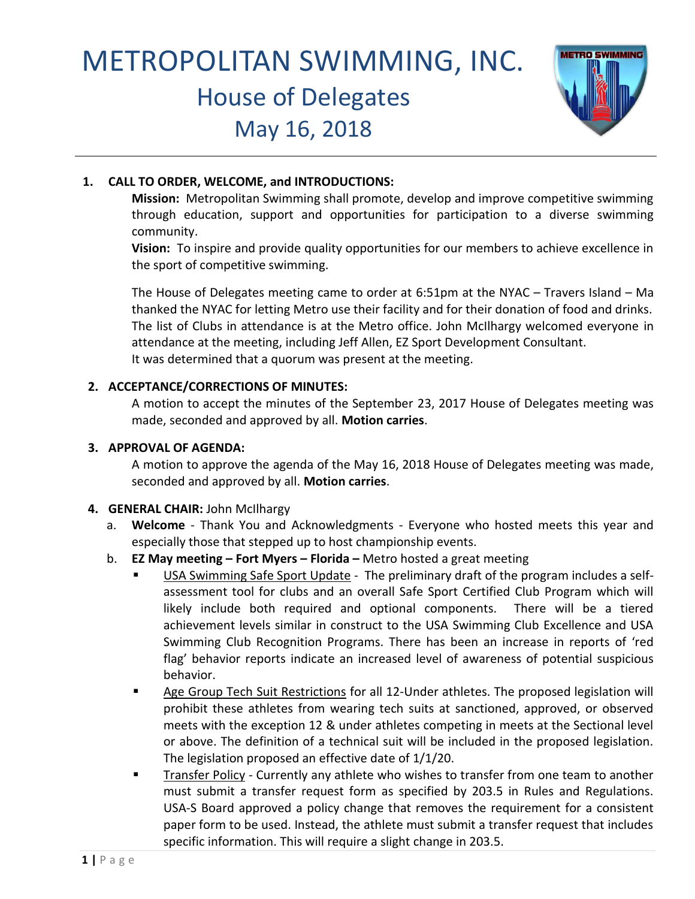# METROPOLITAN SWIMMING, INC. House of Delegates May 16, 2018



# **1. CALL TO ORDER, WELCOME, and INTRODUCTIONS:**

**Mission:** Metropolitan Swimming shall promote, develop and improve competitive swimming through education, support and opportunities for participation to a diverse swimming community.

**Vision:** To inspire and provide quality opportunities for our members to achieve excellence in the sport of competitive swimming.

The House of Delegates meeting came to order at 6:51pm at the NYAC – Travers Island – Ma thanked the NYAC for letting Metro use their facility and for their donation of food and drinks. The list of Clubs in attendance is at the Metro office. John McIlhargy welcomed everyone in attendance at the meeting, including Jeff Allen, EZ Sport Development Consultant. It was determined that a quorum was present at the meeting.

# **2. ACCEPTANCE/CORRECTIONS OF MINUTES:**

A motion to accept the minutes of the September 23, 2017 House of Delegates meeting was made, seconded and approved by all. **Motion carries**.

# **3. APPROVAL OF AGENDA:**

A motion to approve the agenda of the May 16, 2018 House of Delegates meeting was made, seconded and approved by all. **Motion carries**.

# **4. GENERAL CHAIR:** John McIlhargy

- a. **Welcome**  Thank You and Acknowledgments Everyone who hosted meets this year and especially those that stepped up to host championship events.
- b. **EZ May meeting – Fort Myers – Florida –** Metro hosted a great meeting
	- USA Swimming Safe Sport Update The preliminary draft of the program includes a selfassessment tool for clubs and an overall Safe Sport Certified Club Program which will likely include both required and optional components. There will be a tiered achievement levels similar in construct to the USA Swimming Club Excellence and USA Swimming Club Recognition Programs. There has been an increase in reports of 'red flag' behavior reports indicate an increased level of awareness of potential suspicious behavior.
	- Age Group Tech Suit Restrictions for all 12-Under athletes. The proposed legislation will prohibit these athletes from wearing tech suits at sanctioned, approved, or observed meets with the exception 12 & under athletes competing in meets at the Sectional level or above. The definition of a technical suit will be included in the proposed legislation. The legislation proposed an effective date of 1/1/20.
	- Transfer Policy Currently any athlete who wishes to transfer from one team to another must submit a transfer request form as specified by 203.5 in Rules and Regulations. USA-S Board approved a policy change that removes the requirement for a consistent paper form to be used. Instead, the athlete must submit a transfer request that includes specific information. This will require a slight change in 203.5.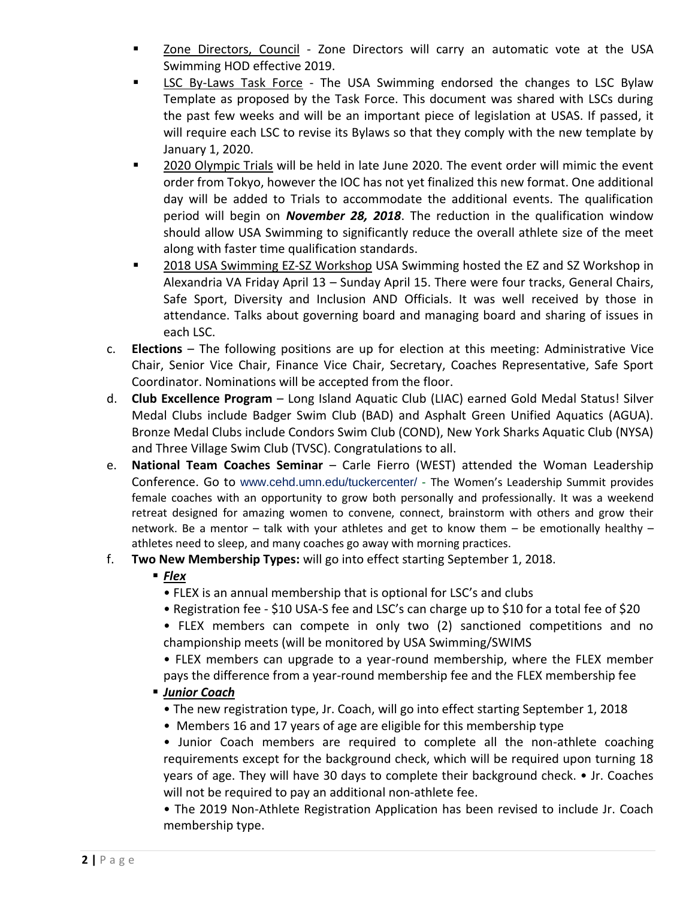- Zone Directors, Council Zone Directors will carry an automatic vote at the USA Swimming HOD effective 2019.
- LSC By-Laws Task Force The USA Swimming endorsed the changes to LSC Bylaw Template as proposed by the Task Force. This document was shared with LSCs during the past few weeks and will be an important piece of legislation at USAS. If passed, it will require each LSC to revise its Bylaws so that they comply with the new template by January 1, 2020.
- 2020 Olympic Trials will be held in late June 2020. The event order will mimic the event order from Tokyo, however the IOC has not yet finalized this new format. One additional day will be added to Trials to accommodate the additional events. The qualification period will begin on *November 28, 2018*. The reduction in the qualification window should allow USA Swimming to significantly reduce the overall athlete size of the meet along with faster time qualification standards.
- 2018 USA Swimming EZ-SZ Workshop USA Swimming hosted the EZ and SZ Workshop in Alexandria VA Friday April 13 – Sunday April 15. There were four tracks, General Chairs, Safe Sport, Diversity and Inclusion AND Officials. It was well received by those in attendance. Talks about governing board and managing board and sharing of issues in each LSC.
- c. **Elections**  The following positions are up for election at this meeting: Administrative Vice Chair, Senior Vice Chair, Finance Vice Chair, Secretary, Coaches Representative, Safe Sport Coordinator. Nominations will be accepted from the floor.
- d. **Club Excellence Program**  Long Island Aquatic Club (LIAC) earned Gold Medal Status! Silver Medal Clubs include Badger Swim Club (BAD) and Asphalt Green Unified Aquatics (AGUA). Bronze Medal Clubs include Condors Swim Club (COND), New York Sharks Aquatic Club (NYSA) and Three Village Swim Club (TVSC). Congratulations to all.
- e. **National Team Coaches Seminar**  Carle Fierro (WEST) attended the Woman Leadership Conference. Go to www.cehd.umn.edu/tuckercenter/ - The Women's Leadership Summit provides female coaches with an opportunity to grow both personally and professionally. It was a weekend retreat designed for amazing women to convene, connect, brainstorm with others and grow their network. Be a mentor – talk with your athletes and get to know them – be emotionally healthy – athletes need to sleep, and many coaches go away with morning practices.
- f. **Two New Membership Types:** will go into effect starting September 1, 2018.

# ■ *Flex*

- FLEX is an annual membership that is optional for LSC's and clubs
- Registration fee \$10 USA-S fee and LSC's can charge up to \$10 for a total fee of \$20
- FLEX members can compete in only two (2) sanctioned competitions and no championship meets (will be monitored by USA Swimming/SWIMS
- FLEX members can upgrade to a year-round membership, where the FLEX member pays the difference from a year-round membership fee and the FLEX membership fee

# ▪ *Junior Coach*

- The new registration type, Jr. Coach, will go into effect starting September 1, 2018
- Members 16 and 17 years of age are eligible for this membership type
- Junior Coach members are required to complete all the non-athlete coaching requirements except for the background check, which will be required upon turning 18 years of age. They will have 30 days to complete their background check. • Jr. Coaches will not be required to pay an additional non-athlete fee.

• The 2019 Non-Athlete Registration Application has been revised to include Jr. Coach membership type.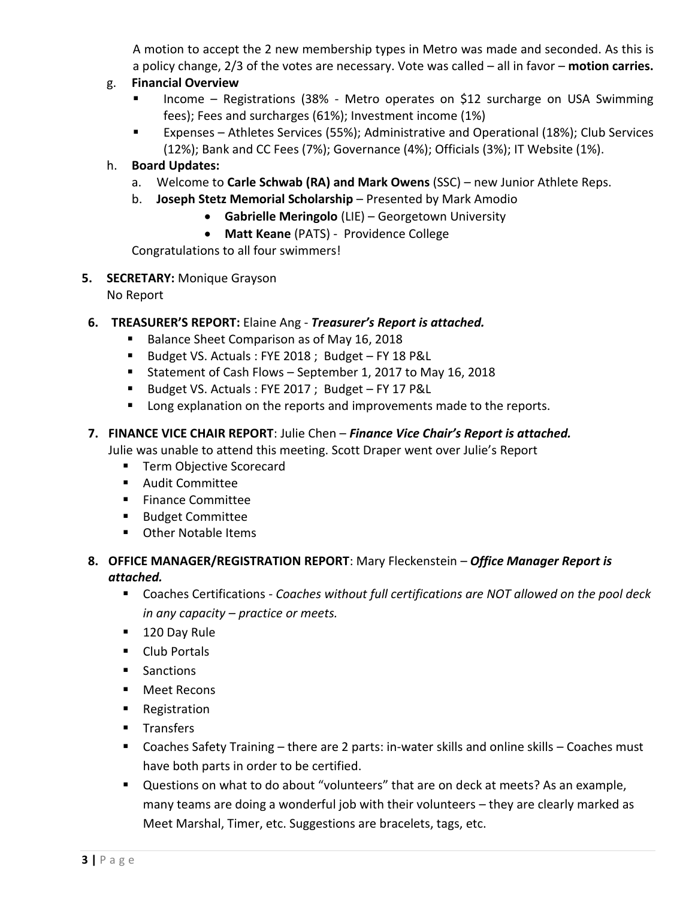A motion to accept the 2 new membership types in Metro was made and seconded. As this is a policy change, 2/3 of the votes are necessary. Vote was called – all in favor – **motion carries.**

# g. **Financial Overview**

- Income Registrations (38% Metro operates on \$12 surcharge on USA Swimming fees); Fees and surcharges (61%); Investment income (1%)
- Expenses Athletes Services (55%); Administrative and Operational (18%); Club Services (12%); Bank and CC Fees (7%); Governance (4%); Officials (3%); IT Website (1%).

# h. **Board Updates:**

- a. Welcome to **Carle Schwab (RA) and Mark Owens** (SSC) new Junior Athlete Reps.
- b. **Joseph Stetz Memorial Scholarship** Presented by Mark Amodio
	- **Gabrielle Meringolo** (LIE) Georgetown University
	- **Matt Keane** (PATS) Providence College

Congratulations to all four swimmers!

# **5. SECRETARY:** Monique Grayson

No Report

## **6. TREASURER'S REPORT:** Elaine Ang - *Treasurer's Report is attached.*

- Balance Sheet Comparison as of May 16, 2018
- Budget VS. Actuals : FYE 2018 ; Budget FY 18 P&L
- Statement of Cash Flows September 1, 2017 to May 16, 2018
- Budget VS. Actuals : FYE 2017 ; Budget FY 17 P&L
- Long explanation on the reports and improvements made to the reports.

## **7. FINANCE VICE CHAIR REPORT**: Julie Chen – *Finance Vice Chair's Report is attached.*

Julie was unable to attend this meeting. Scott Draper went over Julie's Report

- Term Objective Scorecard
- Audit Committee
- Finance Committee
- Budget Committee
- Other Notable Items

## **8. OFFICE MANAGER/REGISTRATION REPORT**: Mary Fleckenstein – *Office Manager Report is attached.*

- Coaches Certifications *Coaches without full certifications are NOT allowed on the pool deck in any capacity – practice or meets.*
- 120 Day Rule
- Club Portals
- Sanctions
- Meet Recons
- Registration
- Transfers
- Coaches Safety Training there are 2 parts: in-water skills and online skills Coaches must have both parts in order to be certified.
- Questions on what to do about "volunteers" that are on deck at meets? As an example, many teams are doing a wonderful job with their volunteers – they are clearly marked as Meet Marshal, Timer, etc. Suggestions are bracelets, tags, etc.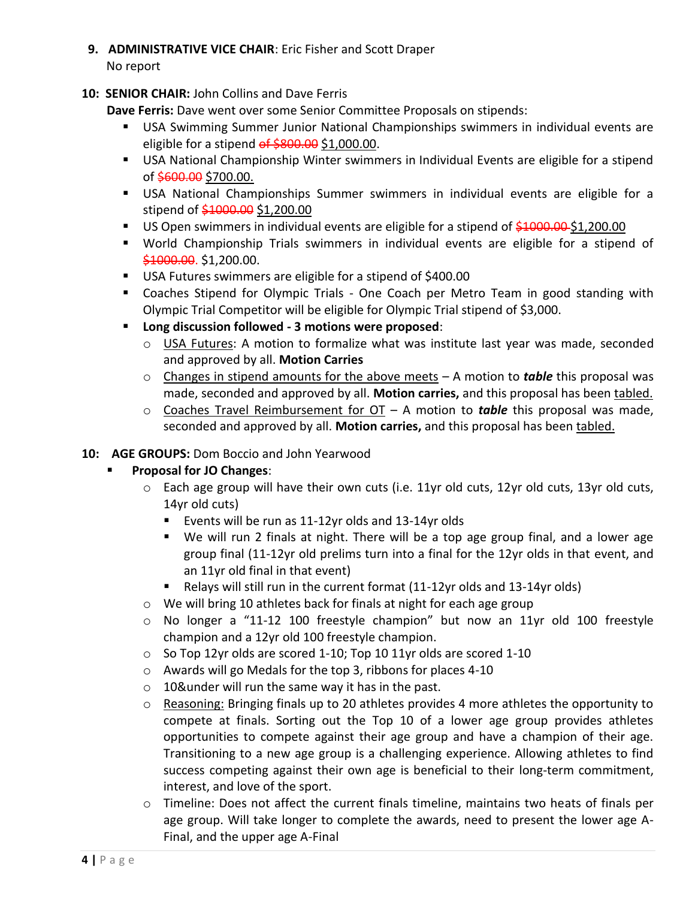**9. ADMINISTRATIVE VICE CHAIR**: Eric Fisher and Scott Draper

No report

# **10: SENIOR CHAIR:** John Collins and Dave Ferris

**Dave Ferris:** Dave went over some Senior Committee Proposals on stipends:

- **USA Swimming Summer Junior National Championships swimmers in individual events are** eligible for a stipend of \$800.00 \$1,000.00.
- USA National Championship Winter swimmers in Individual Events are eligible for a stipend of \$600.00 \$700.00.
- USA National Championships Summer swimmers in individual events are eligible for a stipend of \$1000.00 \$1,200.00
- US Open swimmers in individual events are eligible for a stipend of \$1000.00 \$1,200.00
- World Championship Trials swimmers in individual events are eligible for a stipend of \$1000.00. \$1,200.00.
- USA Futures swimmers are eligible for a stipend of \$400.00
- Coaches Stipend for Olympic Trials One Coach per Metro Team in good standing with Olympic Trial Competitor will be eligible for Olympic Trial stipend of \$3,000.
- **Long discussion followed - 3 motions were proposed**:
	- o USA Futures: A motion to formalize what was institute last year was made, seconded and approved by all. **Motion Carries**
	- o Changes in stipend amounts for the above meets A motion to *table* this proposal was made, seconded and approved by all. **Motion carries,** and this proposal has been tabled.
	- o Coaches Travel Reimbursement for OT A motion to *table* this proposal was made, seconded and approved by all. **Motion carries,** and this proposal has been tabled.

# **10: AGE GROUPS:** Dom Boccio and John Yearwood

- ▪ **Proposal for JO Changes**:
	- $\circ$  Each age group will have their own cuts (i.e. 11yr old cuts, 12yr old cuts, 13yr old cuts, 14yr old cuts)
		- Events will be run as 11-12yr olds and 13-14yr olds
		- We will run 2 finals at night. There will be a top age group final, and a lower age group final (11-12yr old prelims turn into a final for the 12yr olds in that event, and an 11yr old final in that event)
		- Relays will still run in the current format (11-12yr olds and 13-14yr olds)
	- o We will bring 10 athletes back for finals at night for each age group
	- o No longer a "11-12 100 freestyle champion" but now an 11yr old 100 freestyle champion and a 12yr old 100 freestyle champion.
	- o So Top 12yr olds are scored 1-10; Top 10 11yr olds are scored 1-10
	- o Awards will go Medals for the top 3, ribbons for places 4-10
	- o 10&under will run the same way it has in the past.
	- o Reasoning: Bringing finals up to 20 athletes provides 4 more athletes the opportunity to compete at finals. Sorting out the Top 10 of a lower age group provides athletes opportunities to compete against their age group and have a champion of their age. Transitioning to a new age group is a challenging experience. Allowing athletes to find success competing against their own age is beneficial to their long-term commitment, interest, and love of the sport.
	- o Timeline: Does not affect the current finals timeline, maintains two heats of finals per age group. Will take longer to complete the awards, need to present the lower age A-Final, and the upper age A-Final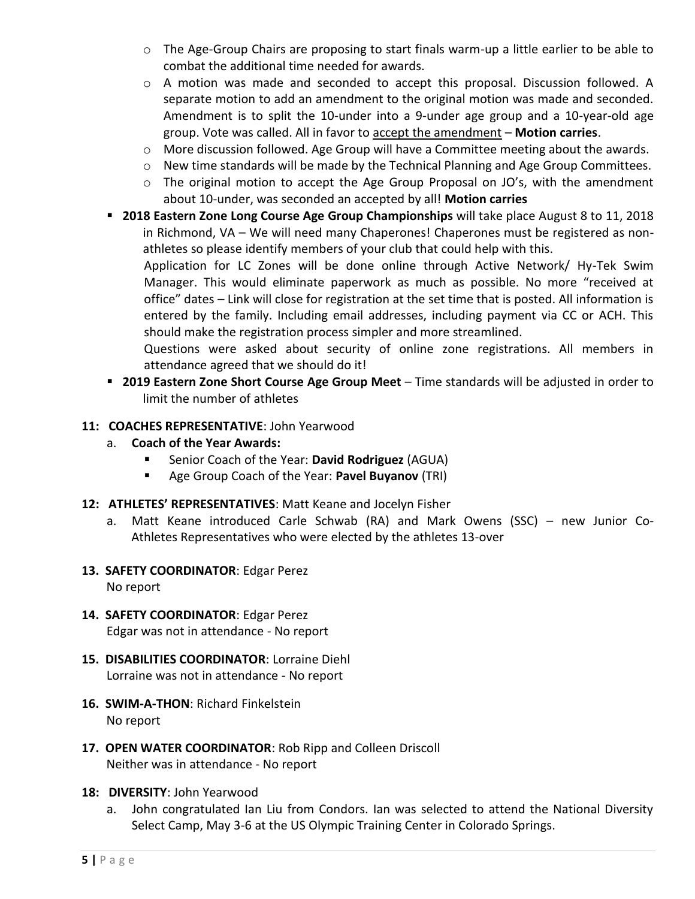- o The Age-Group Chairs are proposing to start finals warm-up a little earlier to be able to combat the additional time needed for awards.
- o A motion was made and seconded to accept this proposal. Discussion followed. A separate motion to add an amendment to the original motion was made and seconded. Amendment is to split the 10-under into a 9-under age group and a 10-year-old age group. Vote was called. All in favor to accept the amendment – **Motion carries**.
- o More discussion followed. Age Group will have a Committee meeting about the awards.
- o New time standards will be made by the Technical Planning and Age Group Committees.
- o The original motion to accept the Age Group Proposal on JO's, with the amendment about 10-under, was seconded an accepted by all! **Motion carries**
- **2018 Eastern Zone Long Course Age Group Championships** will take place August 8 to 11, 2018 in Richmond, VA – We will need many Chaperones! Chaperones must be registered as nonathletes so please identify members of your club that could help with this.

Application for LC Zones will be done online through Active Network/ Hy-Tek Swim Manager. This would eliminate paperwork as much as possible. No more "received at office" dates – Link will close for registration at the set time that is posted. All information is entered by the family. Including email addresses, including payment via CC or ACH. This should make the registration process simpler and more streamlined.

Questions were asked about security of online zone registrations. All members in attendance agreed that we should do it!

- **2019 Eastern Zone Short Course Age Group Meet**  Time standards will be adjusted in order to limit the number of athletes
- **11: COACHES REPRESENTATIVE**: John Yearwood
	- a. **Coach of the Year Awards:**
		- Senior Coach of the Year: **David Rodriguez** (AGUA)
		- Age Group Coach of the Year: **Pavel Buyanov** (TRI)
- **12: ATHLETES' REPRESENTATIVES**: Matt Keane and Jocelyn Fisher
	- a. Matt Keane introduced Carle Schwab (RA) and Mark Owens (SSC) new Junior Co- Athletes Representatives who were elected by the athletes 13-over
- **13. SAFETY COORDINATOR**: Edgar Perez No report
- **14. SAFETY COORDINATOR**: Edgar Perez Edgar was not in attendance - No report
- **15. DISABILITIES COORDINATOR**: Lorraine Diehl Lorraine was not in attendance - No report
- **16. SWIM-A-THON**: Richard Finkelstein No report
- **17. OPEN WATER COORDINATOR**: Rob Ripp and Colleen Driscoll Neither was in attendance - No report
- **18: DIVERSITY**: John Yearwood
	- a. John congratulated Ian Liu from Condors. Ian was selected to attend the National Diversity Select Camp, May 3-6 at the US Olympic Training Center in Colorado Springs.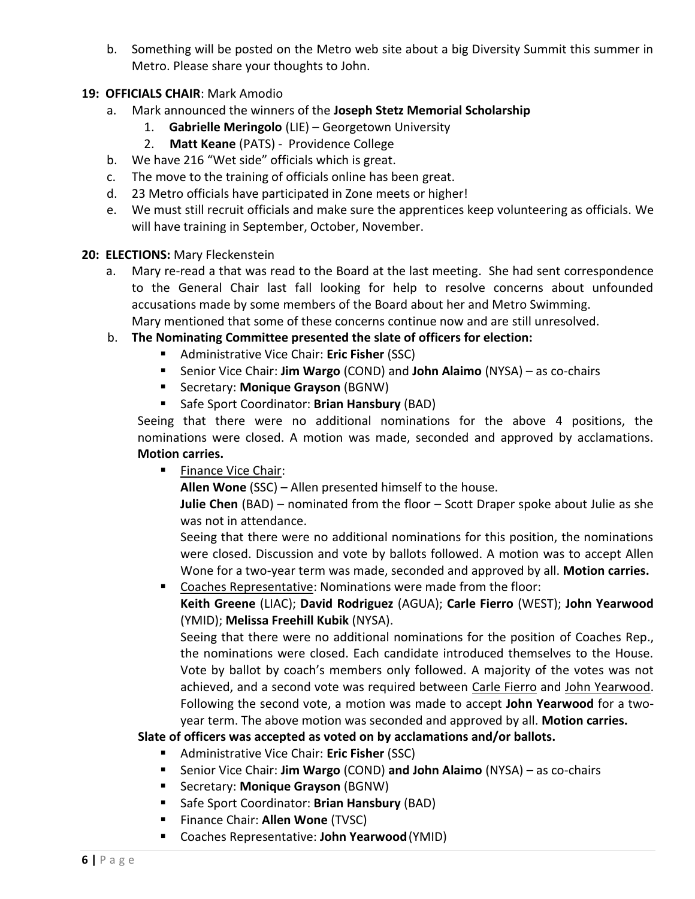b. Something will be posted on the Metro web site about a big Diversity Summit this summer in Metro. Please share your thoughts to John.

# **19: OFFICIALS CHAIR**: Mark Amodio

- a. Mark announced the winners of the **Joseph Stetz Memorial Scholarship**
	- 1. **Gabrielle Meringolo** (LIE) Georgetown University
	- 2. **Matt Keane** (PATS) Providence College
- b. We have 216 "Wet side" officials which is great.
- c. The move to the training of officials online has been great.
- d. 23 Metro officials have participated in Zone meets or higher!
- e. We must still recruit officials and make sure the apprentices keep volunteering as officials. We will have training in September, October, November.

### **20: ELECTIONS:** Mary Fleckenstein

- a. Mary re-read a that was read to the Board at the last meeting. She had sent correspondence to the General Chair last fall looking for help to resolve concerns about unfounded accusations made by some members of the Board about her and Metro Swimming. Mary mentioned that some of these concerns continue now and are still unresolved.
- b. **The Nominating Committee presented the slate of officers for election:** 
	- Administrative Vice Chair: **Eric Fisher** (SSC)
	- Senior Vice Chair: **Jim Wargo** (COND) and **John Alaimo** (NYSA) as co-chairs
	- Secretary: **Monique Grayson** (BGNW)
	- Safe Sport Coordinator: **Brian Hansbury** (BAD)

 Seeing that there were no additional nominations for the above 4 positions, the nominations were closed. A motion was made, seconded and approved by acclamations. **Motion carries.**

■ Finance Vice Chair:

**Allen Wone** (SSC) – Allen presented himself to the house.

**Julie Chen** (BAD) – nominated from the floor – Scott Draper spoke about Julie as she was not in attendance.

Seeing that there were no additional nominations for this position, the nominations were closed. Discussion and vote by ballots followed. A motion was to accept Allen Wone for a two-year term was made, seconded and approved by all. **Motion carries.**

■ Coaches Representative: Nominations were made from the floor:

**Keith Greene** (LIAC); **David Rodriguez** (AGUA); **Carle Fierro** (WEST); **John Yearwood** (YMID); **Melissa Freehill Kubik** (NYSA).

Seeing that there were no additional nominations for the position of Coaches Rep., the nominations were closed. Each candidate introduced themselves to the House. Vote by ballot by coach's members only followed. A majority of the votes was not achieved, and a second vote was required between Carle Fierro and John Yearwood. Following the second vote, a motion was made to accept **John Yearwood** for a twoyear term. The above motion was seconded and approved by all. **Motion carries.**

### **Slate of officers was accepted as voted on by acclamations and/or ballots.**

- Administrative Vice Chair: **Eric Fisher** (SSC)
- Senior Vice Chair: **Jim Wargo** (COND) **and John Alaimo** (NYSA) as co-chairs
- Secretary: **Monique Grayson** (BGNW)
- Safe Sport Coordinator: **Brian Hansbury** (BAD)
- Finance Chair: **Allen Wone** (TVSC)
- Coaches Representative: **John Yearwood**(YMID)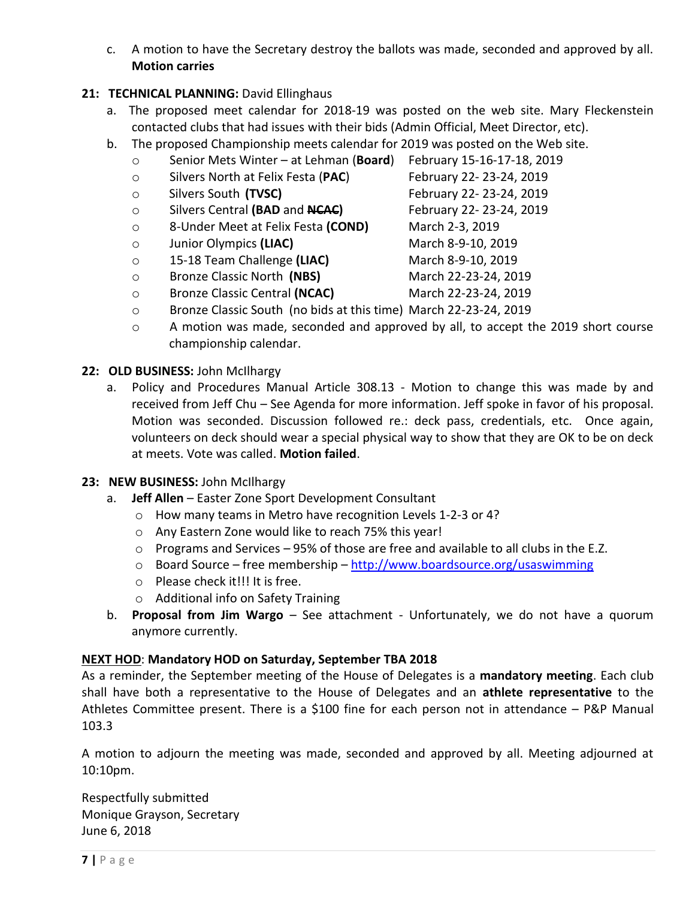c. A motion to have the Secretary destroy the ballots was made, seconded and approved by all. **Motion carries**

# 21: **TECHNICAL PLANNING:** David Ellinghaus

- a. The proposed meet calendar for 2018-19 was posted on the web site. Mary Fleckenstein contacted clubs that had issues with their bids (Admin Official, Meet Director, etc).
- b. The proposed Championship meets calendar for 2019 was posted on the Web site.
	- o Senior Mets Winter at Lehman (**Board**) February 15-16-17-18, 2019
	- o Silvers North at Felix Festa (**PAC**) February 22- 23-24, 2019
	- o Silvers South **(TVSC)** February 22- 23-24, 2019
	- o Silvers Central **(BAD** and **NCAC)** February 22- 23-24, 2019
	- o 8-Under Meet at Felix Festa **(COND)** March 2-3, 2019
	- o Junior Olympics **(LIAC)** March 8-9-10, 2019
	- o 15-18 Team Challenge **(LIAC)** March 8-9-10, 2019
	- o Bronze Classic North **(NBS)** March 22-23-24, 2019
	- o Bronze Classic Central **(NCAC)** March 22-23-24, 2019
	- o Bronze Classic South (no bids at this time) March 22-23-24, 2019
	- o A motion was made, seconded and approved by all, to accept the 2019 short course championship calendar.
- **22: OLD BUSINESS:** John McIlhargy
	- a. Policy and Procedures Manual Article 308.13 Motion to change this was made by and received from Jeff Chu – See Agenda for more information. Jeff spoke in favor of his proposal. Motion was seconded. Discussion followed re.: deck pass, credentials, etc. Once again, volunteers on deck should wear a special physical way to show that they are OK to be on deck at meets. Vote was called. **Motion failed**.
- **23: NEW BUSINESS:** John McIlhargy
	- a. **Jeff Allen** Easter Zone Sport Development Consultant
		- o How many teams in Metro have recognition Levels 1-2-3 or 4?
		- o Any Eastern Zone would like to reach 75% this year!
		- $\circ$  Programs and Services 95% of those are free and available to all clubs in the E.Z.
		- o Board Source free membership <http://www.boardsource.org/usaswimming>
		- o Please check it!!! It is free.
		- o Additional info on Safety Training
	- b. **Proposal from Jim Wargo** See attachment Unfortunately, we do not have a quorum anymore currently.

### **NEXT HOD**: **Mandatory HOD on Saturday, September TBA 2018**

As a reminder, the September meeting of the House of Delegates is a **mandatory meeting**. Each club shall have both a representative to the House of Delegates and an **athlete representative** to the Athletes Committee present. There is a \$100 fine for each person not in attendance – P&P Manual 103.3

A motion to adjourn the meeting was made, seconded and approved by all. Meeting adjourned at 10:10pm.

Respectfully submitted Monique Grayson, Secretary June 6, 2018

- -
- 
- 
- 
-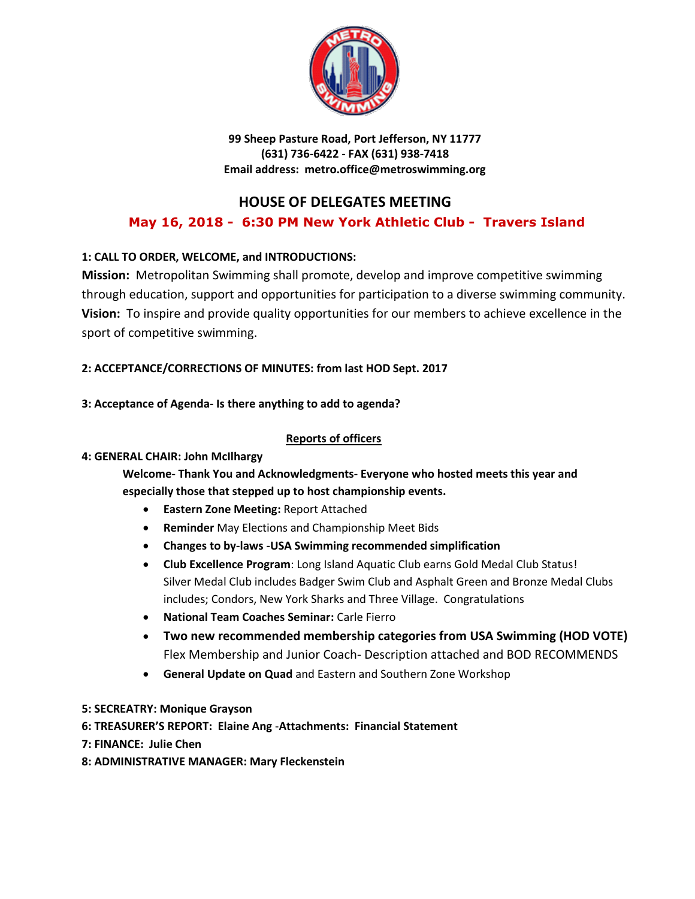

**99 Sheep Pasture Road, Port Jefferson, NY 11777 (631) 736-6422 - FAX (631) 938-7418 Email address: metro.office@metroswimming.org**

# **HOUSE OF DELEGATES MEETING**

# **May 16, 2018 - 6:30 PM New York Athletic Club - Travers Island**

## **1: CALL TO ORDER, WELCOME, and INTRODUCTIONS:**

**Mission:** Metropolitan Swimming shall promote, develop and improve competitive swimming through education, support and opportunities for participation to a diverse swimming community. **Vision:** To inspire and provide quality opportunities for our members to achieve excellence in the sport of competitive swimming.

## **2: ACCEPTANCE/CORRECTIONS OF MINUTES: from last HOD Sept. 2017**

### **3: Acceptance of Agenda- Is there anything to add to agenda?**

#### **Reports of officers**

### **4: GENERAL CHAIR: John McIlhargy**

**Welcome- Thank You and Acknowledgments- Everyone who hosted meets this year and especially those that stepped up to host championship events.** 

- **Eastern Zone Meeting:** Report Attached
- **Reminder** May Elections and Championship Meet Bids
- **Changes to by-laws -USA Swimming recommended simplification**
- **Club Excellence Program**: Long Island Aquatic Club earns Gold Medal Club Status! Silver Medal Club includes Badger Swim Club and Asphalt Green and Bronze Medal Clubs includes; Condors, New York Sharks and Three Village. Congratulations
- **National Team Coaches Seminar:** Carle Fierro
- **Two new recommended membership categories from USA Swimming (HOD VOTE)** Flex Membership and Junior Coach- Description attached and BOD RECOMMENDS
- **General Update on Quad** and Eastern and Southern Zone Workshop
- **5: SECREATRY: Monique Grayson**
- **6: TREASURER'S REPORT: Elaine Ang** -**Attachments: Financial Statement**
- **7: FINANCE: Julie Chen**
- **8: ADMINISTRATIVE MANAGER: Mary Fleckenstein**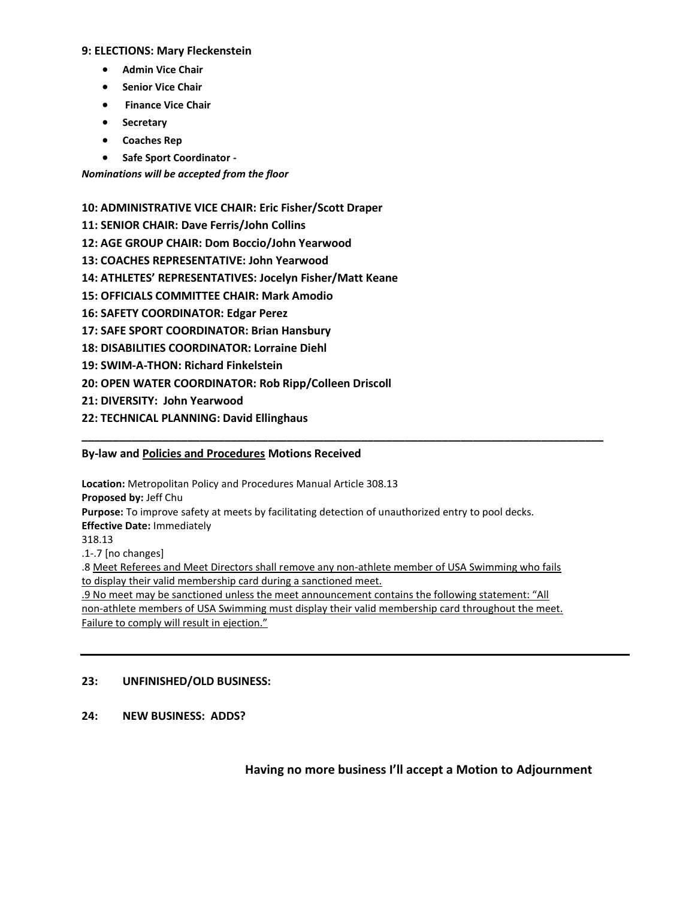#### **9: ELECTIONS: Mary Fleckenstein**

- **Admin Vice Chair**
- **Senior Vice Chair**
- **Finance Vice Chair**
- **Secretary**
- **Coaches Rep**
- **Safe Sport Coordinator -**

*Nominations will be accepted from the floor*

**10: ADMINISTRATIVE VICE CHAIR: Eric Fisher/Scott Draper**

- **11: SENIOR CHAIR: Dave Ferris/John Collins**
- **12: AGE GROUP CHAIR: Dom Boccio/John Yearwood**
- **13: COACHES REPRESENTATIVE: John Yearwood**
- **14: ATHLETES' REPRESENTATIVES: Jocelyn Fisher/Matt Keane**
- **15: OFFICIALS COMMITTEE CHAIR: Mark Amodio**
- **16: SAFETY COORDINATOR: Edgar Perez**
- **17: SAFE SPORT COORDINATOR: Brian Hansbury**
- **18: DISABILITIES COORDINATOR: Lorraine Diehl**
- **19: SWIM-A-THON: Richard Finkelstein**
- **20: OPEN WATER COORDINATOR: Rob Ripp/Colleen Driscoll**
- **21: DIVERSITY: John Yearwood**
- **22: TECHNICAL PLANNING: David Ellinghaus**

#### **By-law and Policies and Procedures Motions Received**

**Location:** Metropolitan Policy and Procedures Manual Article 308.13 **Proposed by:** Jeff Chu **Purpose:** To improve safety at meets by facilitating detection of unauthorized entry to pool decks. **Effective Date:** Immediately 318.13 .1-.7 [no changes] .8 Meet Referees and Meet Directors shall remove any non-athlete member of USA Swimming who fails to display their valid membership card during a sanctioned meet. .9 No meet may be sanctioned unless the meet announcement contains the following statement: "All non-athlete members of USA Swimming must display their valid membership card throughout the meet. Failure to comply will result in ejection."

**\_\_\_\_\_\_\_\_\_\_\_\_\_\_\_\_\_\_\_\_\_\_\_\_\_\_\_\_\_\_\_\_\_\_\_\_\_\_\_\_\_\_\_\_\_\_\_\_\_\_\_\_\_\_\_\_\_\_\_\_\_\_\_\_\_\_\_\_\_\_\_\_\_\_\_\_\_\_\_\_\_\_\_\_**

#### **23: UNFINISHED/OLD BUSINESS:**

**24: NEW BUSINESS: ADDS?**

**Having no more business I'll accept a Motion to Adjournment**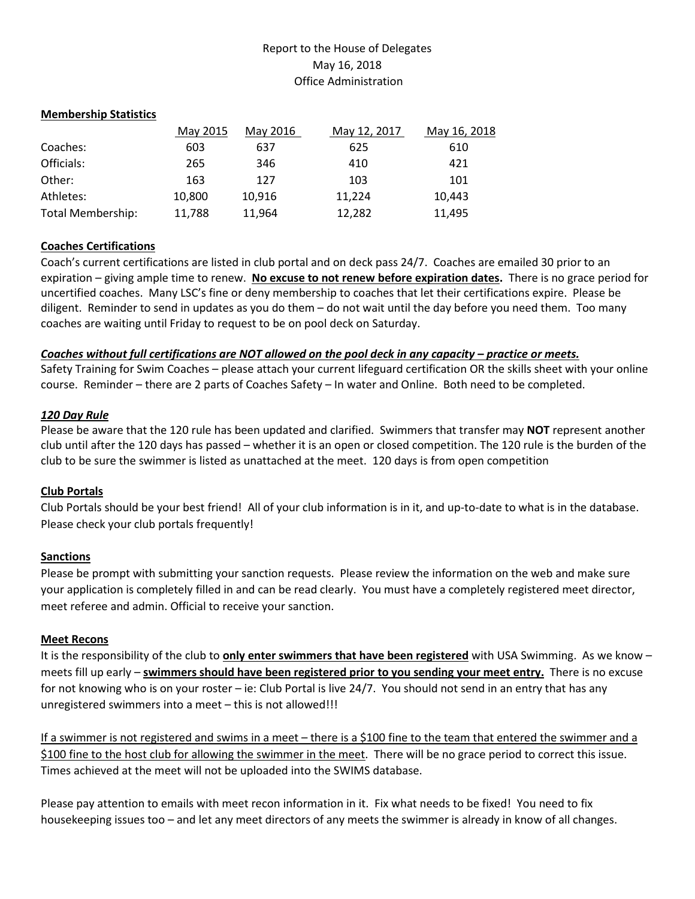### Report to the House of Delegates May 16, 2018 Office Administration

#### **Membership Statistics**

|                          | May 2015 | May 2016 | May 12, 2017 | May 16, 2018 |
|--------------------------|----------|----------|--------------|--------------|
| Coaches:                 | 603      | 637      | 625          | 610          |
| Officials:               | 265      | 346      | 410          | 421          |
| Other:                   | 163      | 127      | 103          | 101          |
| Athletes:                | 10.800   | 10.916   | 11.224       | 10.443       |
| <b>Total Membership:</b> | 11,788   | 11,964   | 12,282       | 11,495       |

#### **Coaches Certifications**

Coach's current certifications are listed in club portal and on deck pass 24/7. Coaches are emailed 30 prior to an expiration – giving ample time to renew. **No excuse to not renew before expiration dates.** There is no grace period for uncertified coaches. Many LSC's fine or deny membership to coaches that let their certifications expire. Please be diligent. Reminder to send in updates as you do them – do not wait until the day before you need them. Too many coaches are waiting until Friday to request to be on pool deck on Saturday.

#### *Coaches without full certifications are NOT allowed on the pool deck in any capacity – practice or meets.*

Safety Training for Swim Coaches – please attach your current lifeguard certification OR the skills sheet with your online course. Reminder – there are 2 parts of Coaches Safety – In water and Online. Both need to be completed.

#### *120 Day Rule*

Please be aware that the 120 rule has been updated and clarified. Swimmers that transfer may **NOT** represent another club until after the 120 days has passed – whether it is an open or closed competition. The 120 rule is the burden of the club to be sure the swimmer is listed as unattached at the meet. 120 days is from open competition

#### **Club Portals**

Club Portals should be your best friend! All of your club information is in it, and up-to-date to what is in the database. Please check your club portals frequently!

#### **Sanctions**

Please be prompt with submitting your sanction requests. Please review the information on the web and make sure your application is completely filled in and can be read clearly. You must have a completely registered meet director, meet referee and admin. Official to receive your sanction.

#### **Meet Recons**

It is the responsibility of the club to **only enter swimmers that have been registered** with USA Swimming. As we know – meets fill up early – **swimmers should have been registered prior to you sending your meet entry.** There is no excuse for not knowing who is on your roster – ie: Club Portal is live 24/7. You should not send in an entry that has any unregistered swimmers into a meet – this is not allowed!!!

If a swimmer is not registered and swims in a meet – there is a \$100 fine to the team that entered the swimmer and a \$100 fine to the host club for allowing the swimmer in the meet. There will be no grace period to correct this issue. Times achieved at the meet will not be uploaded into the SWIMS database.

Please pay attention to emails with meet recon information in it. Fix what needs to be fixed! You need to fix housekeeping issues too – and let any meet directors of any meets the swimmer is already in know of all changes.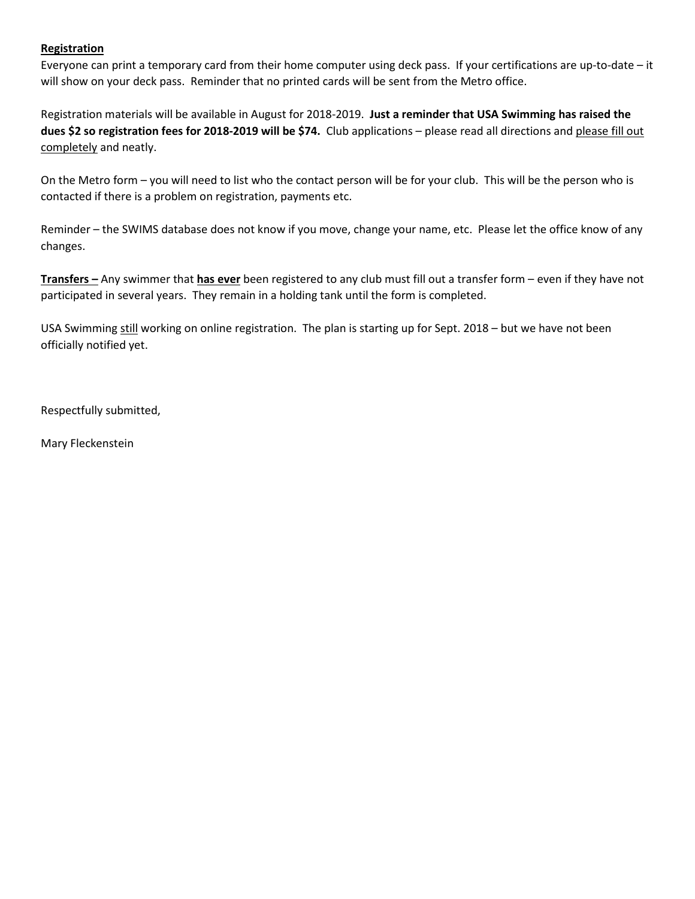#### **Registration**

Everyone can print a temporary card from their home computer using deck pass. If your certifications are up-to-date – it will show on your deck pass. Reminder that no printed cards will be sent from the Metro office.

Registration materials will be available in August for 2018-2019. **Just a reminder that USA Swimming has raised the dues \$2 so registration fees for 2018-2019 will be \$74.** Club applications – please read all directions and please fill out completely and neatly.

On the Metro form – you will need to list who the contact person will be for your club. This will be the person who is contacted if there is a problem on registration, payments etc.

Reminder – the SWIMS database does not know if you move, change your name, etc. Please let the office know of any changes.

**Transfers –** Any swimmer that **has ever** been registered to any club must fill out a transfer form – even if they have not participated in several years. They remain in a holding tank until the form is completed.

USA Swimming still working on online registration. The plan is starting up for Sept. 2018 – but we have not been officially notified yet.

Respectfully submitted,

Mary Fleckenstein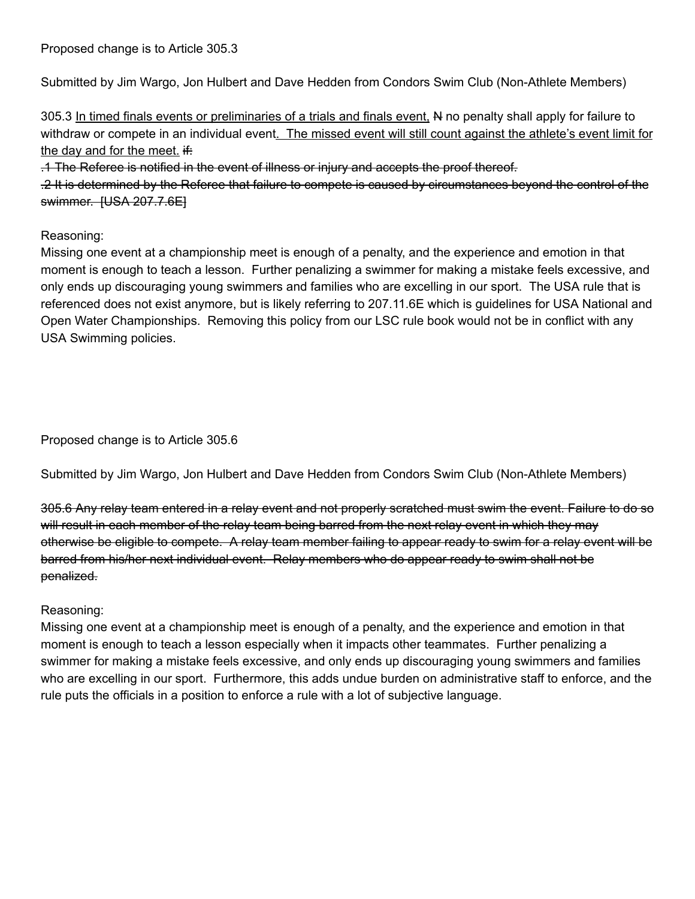Proposed change is to Article 305.3

Submitted by Jim Wargo, Jon Hulbert and Dave Hedden from Condors Swim Club (Non-Athlete Members)

305.3 In timed finals events or preliminaries of a trials and finals event, N no penalty shall apply for failure to withdraw or compete in an individual event. The missed event will still count against the athlete's event limit for the day and for the meet.  $\text{if:}$ 

.1 The Referee is notified in the event of illness or injury and accepts the proof thereof.

.2 It is determined by the Referee that failure to compete is caused by circumstances beyond the control of the swimmer. **[USA 207.7.6E]** 

# Reasoning:

Missing one event at a championship meet is enough of a penalty, and the experience and emotion in that moment is enough to teach a lesson. Further penalizing a swimmer for making a mistake feels excessive, and only ends up discouraging young swimmers and families who are excelling in our sport. The USA rule that is referenced does not exist anymore, but is likely referring to 207.11.6E which is guidelines for USA National and Open Water Championships. Removing this policy from our LSC rule book would not be in conflict with any USA Swimming policies.

Proposed change is to Article 305.6

Submitted by Jim Wargo, Jon Hulbert and Dave Hedden from Condors Swim Club (Non-Athlete Members)

305.6 Any relay team entered in a relay event and not properly scratched must swim the event. Failure to do so will result in each member of the relay team being barred from the next relay event in which they may otherwise be eligible to compete. A relay team member failing to appear ready to swim for a relay event will be barred from his/her next individual event. Relay members who do appear ready to swim shall not be penalized.

### Reasoning:

Missing one event at a championship meet is enough of a penalty, and the experience and emotion in that moment is enough to teach a lesson especially when it impacts other teammates. Further penalizing a swimmer for making a mistake feels excessive, and only ends up discouraging young swimmers and families who are excelling in our sport. Furthermore, this adds undue burden on administrative staff to enforce, and the rule puts the officials in a position to enforce a rule with a lot of subjective language.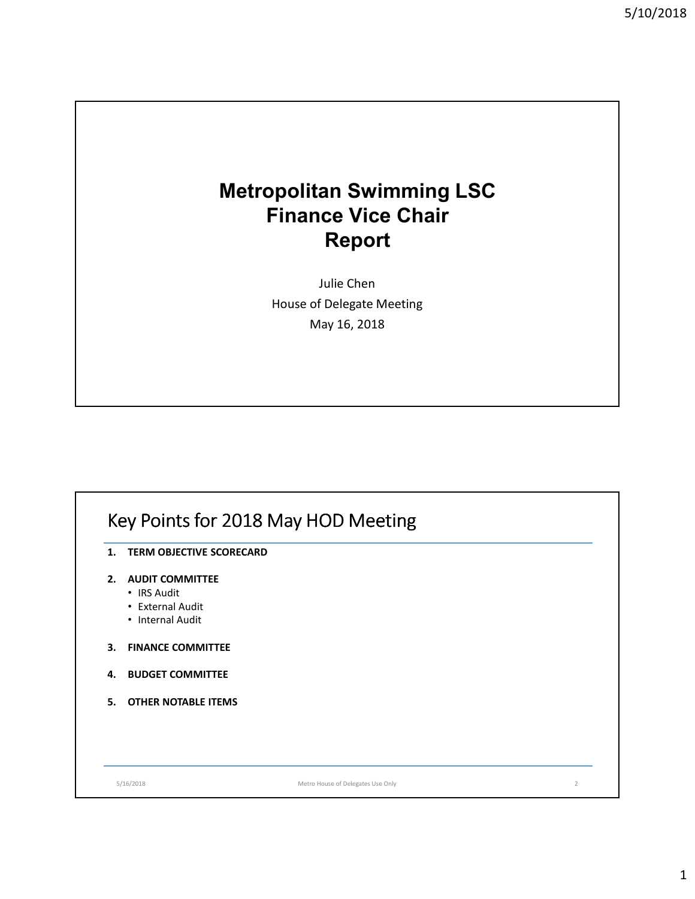# **Metropolitan Swimming LSC Finance Vice Chair Report**

Julie Chen House of Delegate Meeting May 16, 2018

# Key Points for 2018 May HOD Meeting

- **1. TERM OBJECTIVE SCORECARD**
- **2. AUDIT COMMITTEE**
	- IRS Audit
	- External Audit
	- Internal Audit
- **3. FINANCE COMMITTEE**
- **4. BUDGET COMMITTEE**
- **5. OTHER NOTABLE ITEMS**

5/16/2018 Metro House of Delegates Use Only 2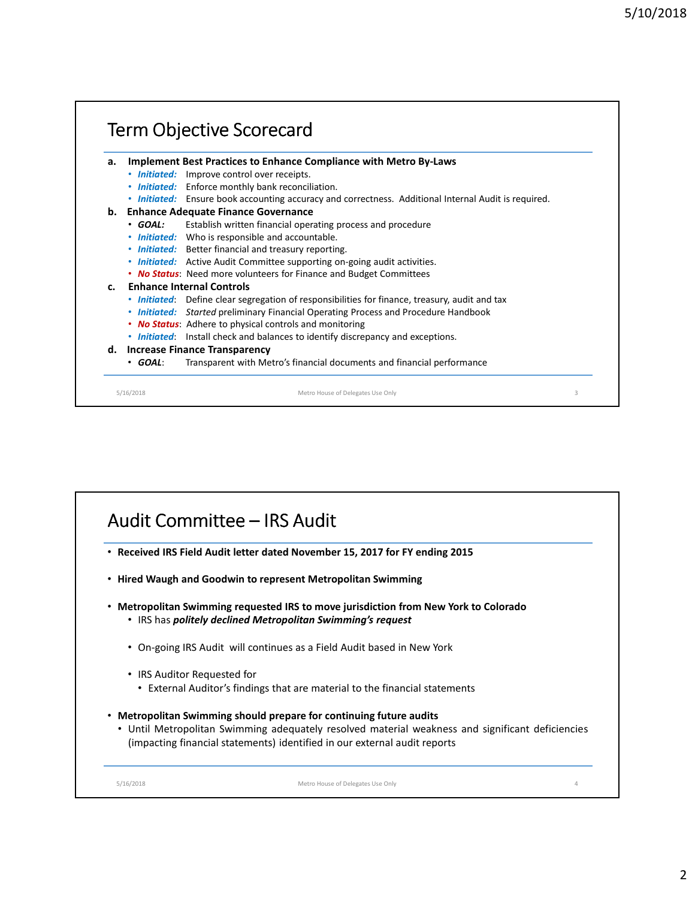#### Term Objective Scorecard 5/16/2018 Metro House of Delegates Use Only **a. Implement Best Practices to Enhance Compliance with Metro By-Laws** • *Initiated:* Improve control over receipts. • *Initiated:* Enforce monthly bank reconciliation. • *Initiated:* Ensure book accounting accuracy and correctness. Additional Internal Audit is required. **b. Enhance Adequate Finance Governance** • *GOAL:* Establish written financial operating process and procedure • *Initiated:* Who is responsible and accountable. • *Initiated:* Better financial and treasury reporting. • *Initiated:* Active Audit Committee supporting on-going audit activities. • *No Status*: Need more volunteers for Finance and Budget Committees **c. Enhance Internal Controls** • *Initiated*: Define clear segregation of responsibilities for finance, treasury, audit and tax • *Initiated: Started* preliminary Financial Operating Process and Procedure Handbook • *No Status*: Adhere to physical controls and monitoring • *Initiated*: Install check and balances to identify discrepancy and exceptions. **d. Increase Finance Transparency** • *GOAL*: Transparent with Metro's financial documents and financial performance 3

# Audit Committee – IRS Audit • **Received IRS Field Audit letter dated November 15, 2017 for FY ending 2015** • **Hired Waugh and Goodwin to represent Metropolitan Swimming** • **Metropolitan Swimming requested IRS to move jurisdiction from New York to Colorado** • IRS has *politely declined Metropolitan Swimming's request* • On-going IRS Audit will continues as a Field Audit based in New York • IRS Auditor Requested for • External Auditor's findings that are material to the financial statements • **Metropolitan Swimming should prepare for continuing future audits** • Until Metropolitan Swimming adequately resolved material weakness and significant deficiencies (impacting financial statements) identified in our external audit reports 5/16/2018 Metro House of Delegates Use Only 4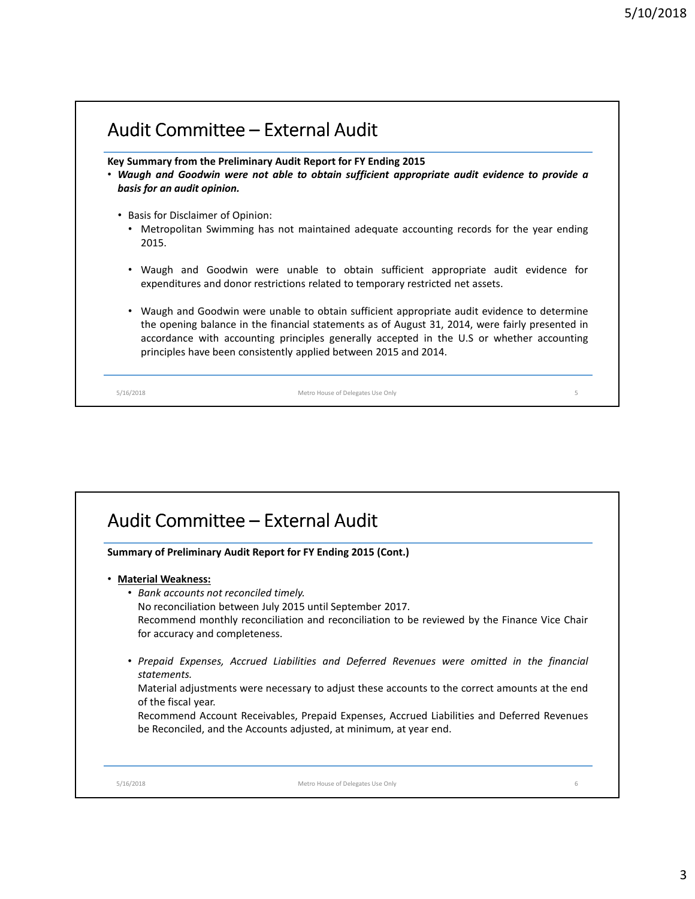# Audit Committee – External Audit

**Key Summary from the Preliminary Audit Report for FY Ending 2015**

- *Waugh and Goodwin were not able to obtain sufficient appropriate audit evidence to provide a basis for an audit opinion.*
	- Basis for Disclaimer of Opinion:
		- Metropolitan Swimming has not maintained adequate accounting records for the year ending 2015.
		- Waugh and Goodwin were unable to obtain sufficient appropriate audit evidence for expenditures and donor restrictions related to temporary restricted net assets.
		- Waugh and Goodwin were unable to obtain sufficient appropriate audit evidence to determine the opening balance in the financial statements as of August 31, 2014, were fairly presented in accordance with accounting principles generally accepted in the U.S or whether accounting principles have been consistently applied between 2015 and 2014.

5/16/2018 Metro House of Delegates Use Only 5

# Audit Committee – External Audit

**Summary of Preliminary Audit Report for FY Ending 2015 (Cont.)**

- **Material Weakness:**
	- *Bank accounts not reconciled timely.*

No reconciliation between July 2015 until September 2017.

Recommend monthly reconciliation and reconciliation to be reviewed by the Finance Vice Chair for accuracy and completeness.

• *Prepaid Expenses, Accrued Liabilities and Deferred Revenues were omitted in the financial statements.*

Material adjustments were necessary to adjust these accounts to the correct amounts at the end of the fiscal year.

Recommend Account Receivables, Prepaid Expenses, Accrued Liabilities and Deferred Revenues be Reconciled, and the Accounts adjusted, at minimum, at year end.

5/16/2018 Metro House of Delegates Use Only 6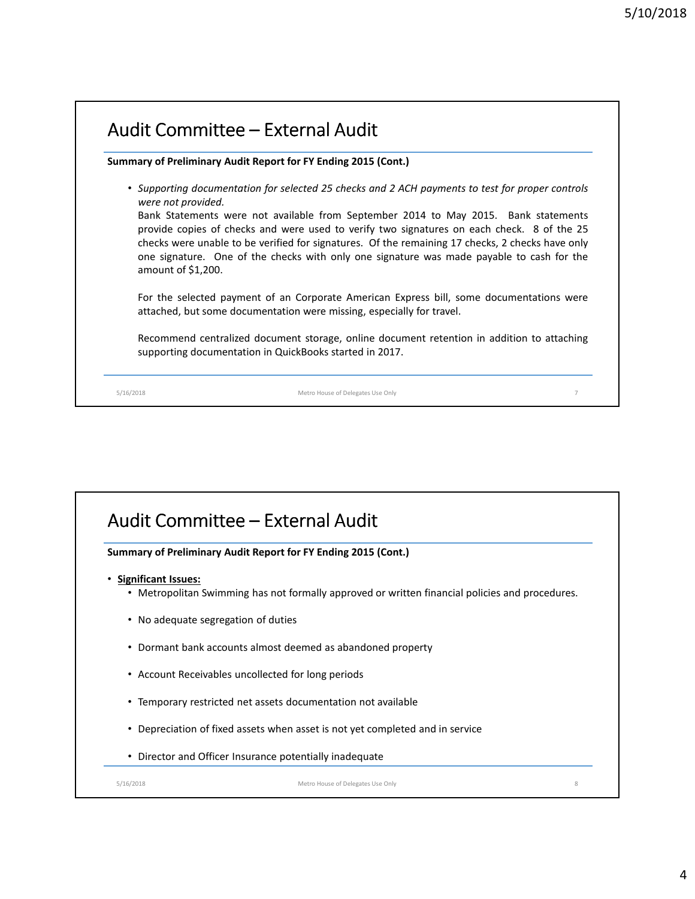# Audit Committee – External Audit **Summary of Preliminary Audit Report for FY Ending 2015 (Cont.)** • *Supporting documentation for selected 25 checks and 2 ACH payments to test for proper controls were not provided.* Bank Statements were not available from September 2014 to May 2015. Bank statements provide copies of checks and were used to verify two signatures on each check. 8 of the 25 checks were unable to be verified for signatures. Of the remaining 17 checks, 2 checks have only one signature. One of the checks with only one signature was made payable to cash for the amount of \$1,200. For the selected payment of an Corporate American Express bill, some documentations were attached, but some documentation were missing, especially for travel. Recommend centralized document storage, online document retention in addition to attaching supporting documentation in QuickBooks started in 2017. 5/16/2018 Metro House of Delegates Use Only 7

# Audit Committee – External Audit

**Summary of Preliminary Audit Report for FY Ending 2015 (Cont.)**

- **Significant Issues:**
	- Metropolitan Swimming has not formally approved or written financial policies and procedures.
	- No adequate segregation of duties
	- Dormant bank accounts almost deemed as abandoned property
	- Account Receivables uncollected for long periods
	- Temporary restricted net assets documentation not available
	- Depreciation of fixed assets when asset is not yet completed and in service
	- Director and Officer Insurance potentially inadequate

5/16/2018 Metro House of Delegates Use Only 8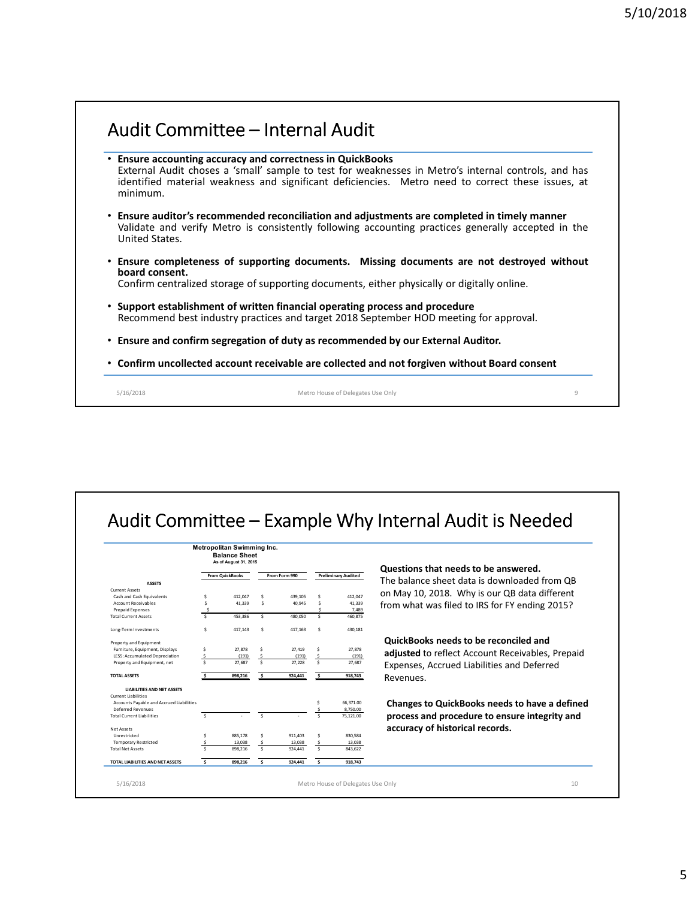# Audit Committee – Internal Audit

- **Ensure accounting accuracy and correctness in QuickBooks** External Audit choses a 'small' sample to test for weaknesses in Metro's internal controls, and has identified material weakness and significant deficiencies. Metro need to correct these issues, at minimum.
- **Ensure auditor's recommended reconciliation and adjustments are completed in timely manner** Validate and verify Metro is consistently following accounting practices generally accepted in the United States.
- **Ensure completeness of supporting documents. Missing documents are not destroyed without board consent.**

Confirm centralized storage of supporting documents, either physically or digitally online.

- **Support establishment of written financial operating process and procedure** Recommend best industry practices and target 2018 September HOD meeting for approval.
- **Ensure and confirm segregation of duty as recommended by our External Auditor.**
- **Confirm uncollected account receivable are collected and not forgiven without Board consent**

5/16/2018 Metro House of Delegates Use Only 9

# Audit Committee – Example Why Internal Audit is Needed

|                                          |                      | As of August 31, 2015  |                     |               |                     |                            |                                                  |
|------------------------------------------|----------------------|------------------------|---------------------|---------------|---------------------|----------------------------|--------------------------------------------------|
|                                          |                      | <b>From QuickBooks</b> |                     | From Form 990 |                     | <b>Preliminary Audited</b> | Questions that needs to be answered.             |
| <b>ASSETS</b>                            |                      |                        |                     |               |                     |                            | The balance sheet data is downloaded from OB     |
| <b>Current Assets</b>                    |                      |                        |                     |               |                     |                            | on May 10, 2018. Why is our QB data different    |
| Cash and Cash Equivalents                | \$                   | 412.047                | Ś                   | 439.105       | Ś                   | 412.047                    |                                                  |
| <b>Account Receivables</b>               | Ś                    | 41.339                 | Ś                   | 40.945        | Š.                  | 41,339                     | from what was filed to IRS for FY ending 2015?   |
| <b>Prepaid Expenses</b>                  | Š                    |                        |                     |               |                     | 7.489                      |                                                  |
| <b>Total Current Assets</b>              | Š.                   | 453.386                | Ś.                  | 480.050       | Ś                   | 460.875                    |                                                  |
| Long-Term Investments                    | Ś                    | 417,143                | Ś                   | 417,163       | Š.                  | 430.181                    |                                                  |
| Property and Equipment                   |                      |                        |                     |               |                     |                            | <b>QuickBooks needs to be reconciled and</b>     |
| Furniture, Equipment, Displays           | Ŝ                    | 27.878                 | Ś                   | 27.419        | Ś                   | 27,878                     |                                                  |
| LESS: Accumulated Depreciation           | Ś                    | (191)                  | \$                  | (191)         | -\$                 | (191)                      | adjusted to reflect Account Receivables, Prepaid |
| Property and Equipment, net              | $\ddot{\phantom{1}}$ | 27.687                 | $\ddot{\mathbf{S}}$ | 27.228        | $\ddot{\mathbf{S}}$ | 27.687                     | Expenses, Accrued Liabilities and Deferred       |
| <b>TOTAL ASSETS</b>                      |                      | 898.216                | s.                  | 924,441       | Ŝ.                  | 918.743                    | Revenues.                                        |
| <b>LIABILITIES AND NET ASSETS</b>        |                      |                        |                     |               |                     |                            |                                                  |
| <b>Current Liabilities</b>               |                      |                        |                     |               |                     |                            |                                                  |
| Accounts Payable and Accrued Liabilities |                      |                        |                     |               | Ś                   | 66.371.00                  | Changes to QuickBooks needs to have a defined    |
| Deferred Revenues                        |                      |                        |                     |               |                     | 8.750.00                   |                                                  |
| <b>Total Current Liabilities</b>         | Ŝ.                   |                        | $\ddot{\mathbf{S}}$ |               | ¢,                  | 75,121.00                  | process and procedure to ensure integrity and    |
| <b>Net Assets</b>                        |                      |                        |                     |               |                     |                            | accuracy of historical records.                  |
| Unrestricted                             | Ś                    | 885.178                | Ś                   | 911.403       | Ś                   | 830.584                    |                                                  |
| <b>Temporary Restricted</b>              |                      | 13,038                 | \$                  | 13,038        |                     | 13,038                     |                                                  |
| <b>Total Net Assets</b>                  |                      | 898.216                | \$                  | 924.441       | $\ddot{\mathbf{S}}$ | 843,622                    |                                                  |
| TOTAL LIABILITIES AND NET ASSETS         | s.                   | 898.216                | s.                  | 924.441       | -S                  | 918.743                    |                                                  |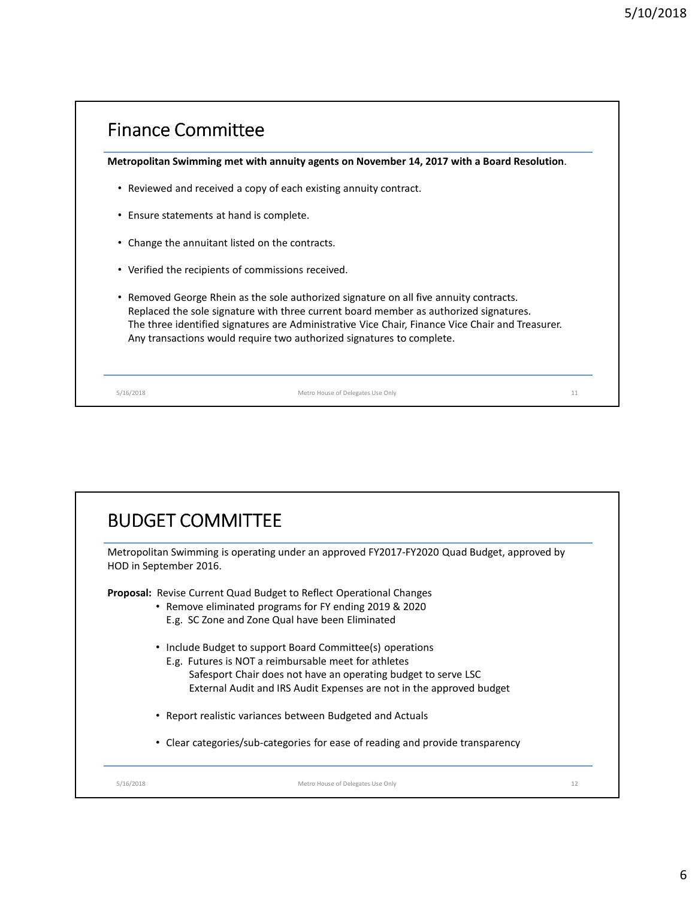| • Reviewed and received a copy of each existing annuity contract.<br>Replaced the sole signature with three current board member as authorized signatures.<br>The three identified signatures are Administrative Vice Chair, Finance Vice Chair and Treasurer.<br>Any transactions would require two authorized signatures to complete. | Metropolitan Swimming met with annuity agents on November 14, 2017 with a Board Resolution. |
|-----------------------------------------------------------------------------------------------------------------------------------------------------------------------------------------------------------------------------------------------------------------------------------------------------------------------------------------|---------------------------------------------------------------------------------------------|
| • Ensure statements at hand is complete.<br>• Change the annuitant listed on the contracts.<br>• Verified the recipients of commissions received.<br>• Removed George Rhein as the sole authorized signature on all five annuity contracts.                                                                                             |                                                                                             |
|                                                                                                                                                                                                                                                                                                                                         |                                                                                             |
|                                                                                                                                                                                                                                                                                                                                         |                                                                                             |
|                                                                                                                                                                                                                                                                                                                                         |                                                                                             |
|                                                                                                                                                                                                                                                                                                                                         |                                                                                             |

| Metropolitan Swimming is operating under an approved FY2017-FY2020 Quad Budget, approved by<br>HOD in September 2016. |
|-----------------------------------------------------------------------------------------------------------------------|
| <b>Proposal:</b> Revise Current Quad Budget to Reflect Operational Changes                                            |
| • Remove eliminated programs for FY ending 2019 & 2020                                                                |
| E.g. SC Zone and Zone Qual have been Eliminated                                                                       |
| • Include Budget to support Board Committee(s) operations                                                             |
| E.g. Futures is NOT a reimbursable meet for athletes                                                                  |
| Safesport Chair does not have an operating budget to serve LSC                                                        |
| External Audit and IRS Audit Expenses are not in the approved budget                                                  |
| • Report realistic variances between Budgeted and Actuals                                                             |
| Clear categories/sub-categories for ease of reading and provide transparency                                          |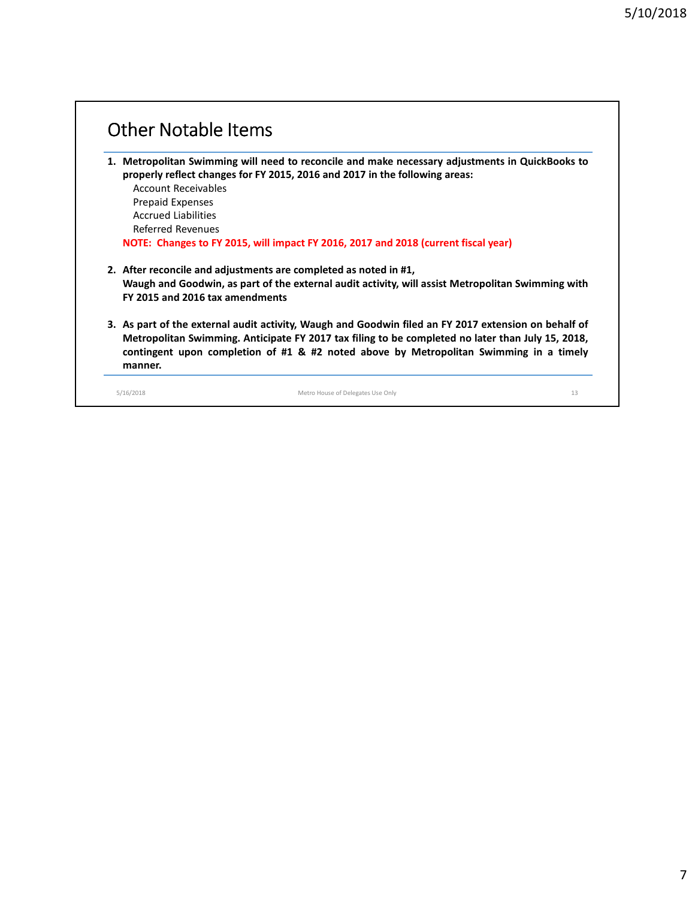| <b>Account Receivables</b>      | 1. Metropolitan Swimming will need to reconcile and make necessary adjustments in QuickBooks to<br>properly reflect changes for FY 2015, 2016 and 2017 in the following areas:                                                                                                                      |  |
|---------------------------------|-----------------------------------------------------------------------------------------------------------------------------------------------------------------------------------------------------------------------------------------------------------------------------------------------------|--|
| <b>Prepaid Expenses</b>         |                                                                                                                                                                                                                                                                                                     |  |
| <b>Accrued Liabilities</b>      |                                                                                                                                                                                                                                                                                                     |  |
| Referred Revenues               |                                                                                                                                                                                                                                                                                                     |  |
|                                 | NOTE: Changes to FY 2015, will impact FY 2016, 2017 and 2018 (current fiscal year)                                                                                                                                                                                                                  |  |
|                                 | 2. After reconcile and adjustments are completed as noted in #1,                                                                                                                                                                                                                                    |  |
| FY 2015 and 2016 tax amendments | Waugh and Goodwin, as part of the external audit activity, will assist Metropolitan Swimming with                                                                                                                                                                                                   |  |
|                                 | 3. As part of the external audit activity, Waugh and Goodwin filed an FY 2017 extension on behalf of<br>Metropolitan Swimming. Anticipate FY 2017 tax filing to be completed no later than July 15, 2018,<br>contingent upon completion of #1 & #2 noted above by Metropolitan Swimming in a timely |  |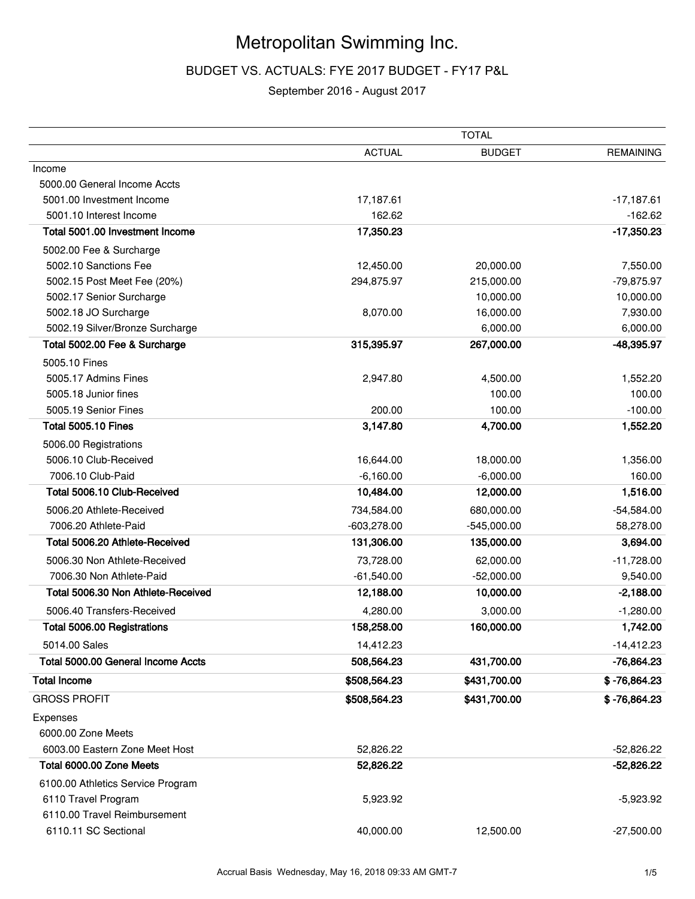# Metropolitan Swimming Inc.

# BUDGET VS. ACTUALS: FYE 2017 BUDGET - FY17 P&L

# September 2016 - August 2017

|                                                          |               | <b>TOTAL</b>  |                  |
|----------------------------------------------------------|---------------|---------------|------------------|
|                                                          | <b>ACTUAL</b> | <b>BUDGET</b> | <b>REMAINING</b> |
| Income                                                   |               |               |                  |
| 5000.00 General Income Accts                             |               |               |                  |
| 5001.00 Investment Income                                | 17,187.61     |               | $-17,187.61$     |
| 5001.10 Interest Income                                  | 162.62        |               | $-162.62$        |
| Total 5001.00 Investment Income                          | 17,350.23     |               | $-17,350.23$     |
| 5002.00 Fee & Surcharge                                  |               |               |                  |
| 5002.10 Sanctions Fee                                    | 12,450.00     | 20,000.00     | 7,550.00         |
| 5002.15 Post Meet Fee (20%)                              | 294,875.97    | 215,000.00    | -79,875.97       |
| 5002.17 Senior Surcharge                                 |               | 10,000.00     | 10,000.00        |
| 5002.18 JO Surcharge                                     | 8,070.00      | 16,000.00     | 7,930.00         |
| 5002.19 Silver/Bronze Surcharge                          |               | 6,000.00      | 6,000.00         |
| Total 5002.00 Fee & Surcharge                            | 315,395.97    | 267,000.00    | -48,395.97       |
| 5005.10 Fines                                            |               |               |                  |
| 5005.17 Admins Fines                                     | 2,947.80      | 4,500.00      | 1,552.20         |
| 5005.18 Junior fines                                     |               | 100.00        | 100.00           |
| 5005.19 Senior Fines                                     | 200.00        | 100.00        | $-100.00$        |
| <b>Total 5005.10 Fines</b>                               | 3,147.80      | 4,700.00      | 1,552.20         |
| 5006.00 Registrations                                    |               |               |                  |
| 5006.10 Club-Received                                    | 16,644.00     | 18,000.00     | 1,356.00         |
| 7006.10 Club-Paid                                        | $-6,160.00$   | $-6,000.00$   | 160.00           |
| Total 5006.10 Club-Received                              | 10,484.00     | 12,000.00     | 1,516.00         |
| 5006.20 Athlete-Received                                 | 734,584.00    | 680,000.00    | $-54,584.00$     |
| 7006.20 Athlete-Paid                                     | $-603,278.00$ | $-545,000.00$ | 58,278.00        |
| Total 5006.20 Athlete-Received                           | 131,306.00    | 135,000.00    | 3,694.00         |
| 5006.30 Non Athlete-Received                             | 73,728.00     | 62,000.00     | $-11,728.00$     |
| 7006.30 Non Athlete-Paid                                 | $-61,540.00$  | $-52,000.00$  | 9,540.00         |
| Total 5006.30 Non Athlete-Received                       | 12,188.00     | 10,000.00     | $-2,188.00$      |
| 5006.40 Transfers-Received                               | 4,280.00      | 3,000.00      | $-1,280.00$      |
| Total 5006.00 Registrations                              | 158,258.00    | 160,000.00    | 1,742.00         |
| 5014.00 Sales                                            | 14,412.23     |               | $-14,412.23$     |
| Total 5000.00 General Income Accts                       | 508,564.23    | 431,700.00    | -76,864.23       |
| <b>Total Income</b>                                      | \$508,564.23  | \$431,700.00  | $$ -76,864.23$   |
| <b>GROSS PROFIT</b>                                      | \$508,564.23  | \$431,700.00  | $$ -76,864.23$   |
| Expenses                                                 |               |               |                  |
| 6000.00 Zone Meets                                       |               |               |                  |
| 6003.00 Eastern Zone Meet Host                           | 52,826.22     |               | $-52,826.22$     |
| Total 6000.00 Zone Meets                                 | 52,826.22     |               | $-52,826.22$     |
|                                                          |               |               |                  |
| 6100.00 Athletics Service Program<br>6110 Travel Program | 5,923.92      |               | $-5,923.92$      |
| 6110.00 Travel Reimbursement                             |               |               |                  |
| 6110.11 SC Sectional                                     | 40,000.00     | 12,500.00     | $-27,500.00$     |
|                                                          |               |               |                  |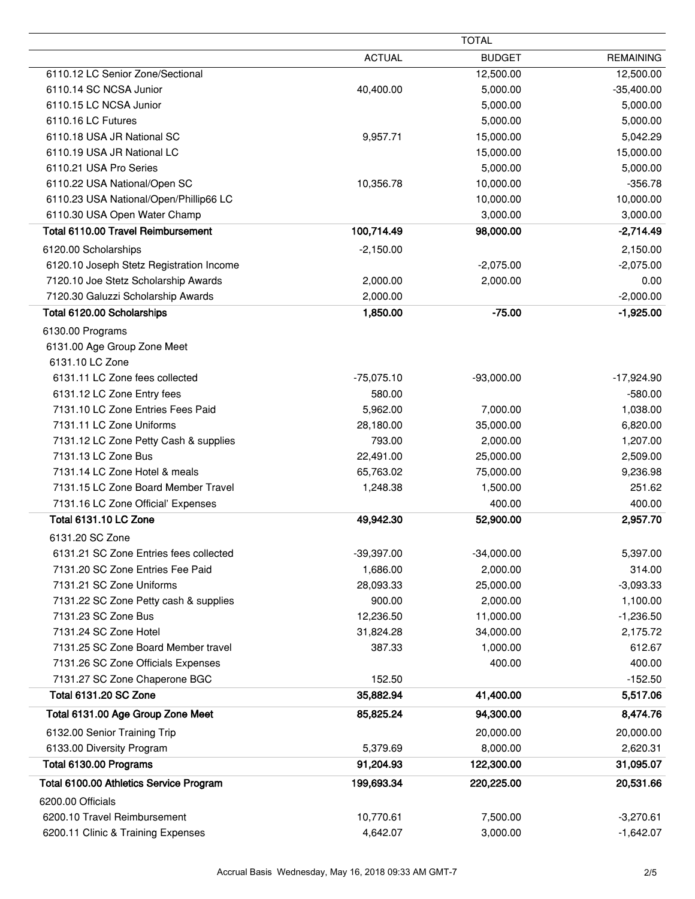|                                          |                     | TOTAL                 |                    |
|------------------------------------------|---------------------|-----------------------|--------------------|
|                                          | <b>ACTUAL</b>       | <b>BUDGET</b>         | <b>REMAINING</b>   |
| 6110.12 LC Senior Zone/Sectional         |                     | 12,500.00             | 12,500.00          |
| 6110.14 SC NCSA Junior                   | 40,400.00           | 5,000.00              | $-35,400.00$       |
| 6110.15 LC NCSA Junior                   |                     | 5,000.00              | 5,000.00           |
| 6110.16 LC Futures                       |                     | 5,000.00              | 5,000.00           |
| 6110.18 USA JR National SC               | 9,957.71            | 15,000.00             | 5,042.29           |
| 6110.19 USA JR National LC               |                     | 15,000.00             | 15,000.00          |
| 6110.21 USA Pro Series                   |                     | 5,000.00              | 5,000.00           |
| 6110.22 USA National/Open SC             | 10,356.78           | 10,000.00             | $-356.78$          |
| 6110.23 USA National/Open/Phillip66 LC   |                     | 10,000.00             | 10,000.00          |
| 6110.30 USA Open Water Champ             |                     | 3,000.00              | 3,000.00           |
| Total 6110.00 Travel Reimbursement       | 100,714.49          | 98,000.00             | $-2,714.49$        |
| 6120.00 Scholarships                     | $-2,150.00$         |                       | 2,150.00           |
| 6120.10 Joseph Stetz Registration Income |                     | $-2,075.00$           | $-2,075.00$        |
| 7120.10 Joe Stetz Scholarship Awards     | 2,000.00            | 2,000.00              | 0.00               |
| 7120.30 Galuzzi Scholarship Awards       | 2,000.00            |                       | $-2,000.00$        |
| Total 6120.00 Scholarships               | 1,850.00            | $-75.00$              | $-1,925.00$        |
| 6130.00 Programs                         |                     |                       |                    |
| 6131.00 Age Group Zone Meet              |                     |                       |                    |
| 6131.10 LC Zone                          |                     |                       |                    |
| 6131.11 LC Zone fees collected           | $-75,075.10$        | $-93,000.00$          | $-17,924.90$       |
| 6131.12 LC Zone Entry fees               | 580.00              |                       | $-580.00$          |
| 7131.10 LC Zone Entries Fees Paid        | 5,962.00            | 7,000.00              | 1,038.00           |
| 7131.11 LC Zone Uniforms                 | 28,180.00           | 35,000.00             | 6,820.00           |
| 7131.12 LC Zone Petty Cash & supplies    | 793.00              | 2,000.00              | 1,207.00           |
| 7131.13 LC Zone Bus                      | 22,491.00           | 25,000.00             | 2,509.00           |
| 7131.14 LC Zone Hotel & meals            | 65,763.02           | 75,000.00             | 9,236.98           |
| 7131.15 LC Zone Board Member Travel      | 1,248.38            | 1,500.00              | 251.62             |
| 7131.16 LC Zone Official' Expenses       |                     | 400.00                | 400.00             |
| Total 6131.10 LC Zone                    | 49,942.30           | 52,900.00             | 2,957.70           |
| 6131.20 SC Zone                          |                     |                       |                    |
| 6131.21 SC Zone Entries fees collected   | $-39,397.00$        |                       |                    |
| 7131.20 SC Zone Entries Fee Paid         | 1,686.00            | $-34,000.00$          | 5,397.00<br>314.00 |
| 7131.21 SC Zone Uniforms                 |                     | 2,000.00              | $-3,093.33$        |
| 7131.22 SC Zone Petty cash & supplies    | 28,093.33<br>900.00 | 25,000.00<br>2,000.00 | 1,100.00           |
| 7131.23 SC Zone Bus                      | 12,236.50           | 11,000.00             | $-1,236.50$        |
| 7131.24 SC Zone Hotel                    | 31,824.28           | 34,000.00             | 2,175.72           |
| 7131.25 SC Zone Board Member travel      | 387.33              | 1,000.00              | 612.67             |
| 7131.26 SC Zone Officials Expenses       |                     | 400.00                | 400.00             |
| 7131.27 SC Zone Chaperone BGC            | 152.50              |                       | $-152.50$          |
| <b>Total 6131.20 SC Zone</b>             | 35,882.94           |                       |                    |
|                                          |                     | 41,400.00             | 5,517.06           |
| Total 6131.00 Age Group Zone Meet        | 85,825.24           | 94,300.00             | 8,474.76           |
| 6132.00 Senior Training Trip             |                     | 20,000.00             | 20,000.00          |
| 6133.00 Diversity Program                | 5,379.69            | 8,000.00              | 2,620.31           |
| Total 6130.00 Programs                   | 91,204.93           | 122,300.00            | 31,095.07          |
| Total 6100.00 Athletics Service Program  | 199,693.34          | 220,225.00            | 20,531.66          |
| 6200.00 Officials                        |                     |                       |                    |
| 6200.10 Travel Reimbursement             | 10,770.61           | 7,500.00              | $-3,270.61$        |
| 6200.11 Clinic & Training Expenses       | 4,642.07            | 3,000.00              | $-1,642.07$        |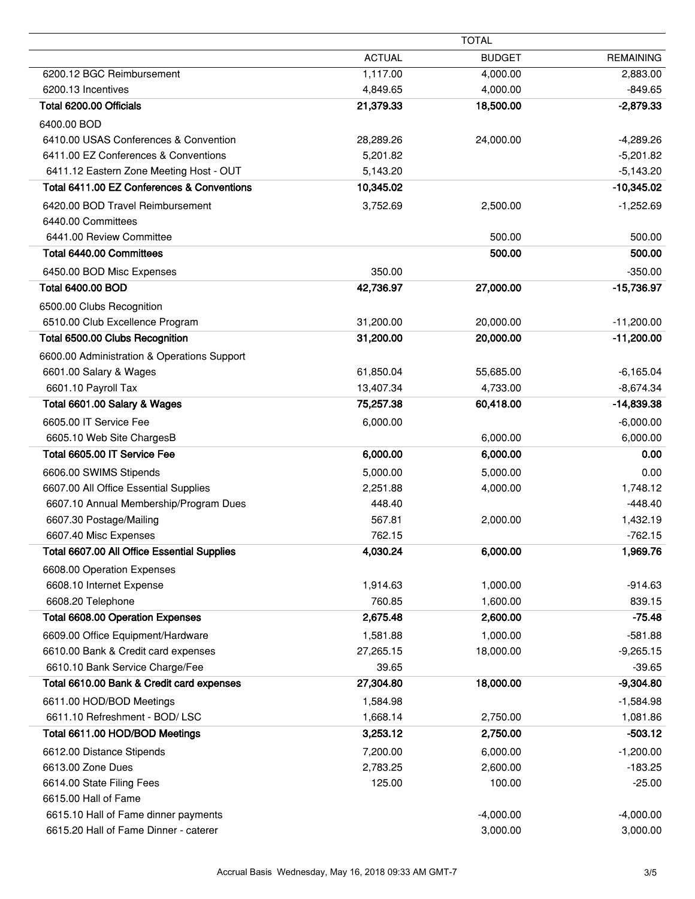|                                                | <b>TOTAL</b>         |                      |                          |
|------------------------------------------------|----------------------|----------------------|--------------------------|
|                                                | <b>ACTUAL</b>        | <b>BUDGET</b>        | <b>REMAINING</b>         |
| 6200.12 BGC Reimbursement                      | 1,117.00             | 4,000.00             | 2,883.00                 |
| 6200.13 Incentives                             | 4,849.65             | 4,000.00             | $-849.65$                |
| Total 6200.00 Officials                        | 21,379.33            | 18,500.00            | $-2,879.33$              |
| 6400.00 BOD                                    |                      |                      |                          |
| 6410.00 USAS Conferences & Convention          | 28,289.26            | 24,000.00            | $-4,289.26$              |
| 6411.00 EZ Conferences & Conventions           | 5,201.82             |                      | $-5,201.82$              |
| 6411.12 Eastern Zone Meeting Host - OUT        | 5,143.20             |                      | $-5,143.20$              |
| Total 6411.00 EZ Conferences & Conventions     | 10,345.02            |                      | $-10,345.02$             |
| 6420.00 BOD Travel Reimbursement               | 3,752.69             | 2,500.00             | $-1,252.69$              |
| 6440.00 Committees                             |                      |                      |                          |
| 6441.00 Review Committee                       |                      | 500.00               | 500.00                   |
| Total 6440.00 Committees                       |                      | 500.00               | 500.00                   |
| 6450.00 BOD Misc Expenses                      | 350.00               |                      | $-350.00$                |
| <b>Total 6400.00 BOD</b>                       | 42,736.97            | 27,000.00            | -15,736.97               |
| 6500.00 Clubs Recognition                      |                      |                      |                          |
| 6510.00 Club Excellence Program                | 31,200.00            | 20,000.00            | $-11,200.00$             |
| Total 6500.00 Clubs Recognition                | 31,200.00            | 20,000.00            | $-11,200.00$             |
| 6600.00 Administration & Operations Support    |                      |                      |                          |
| 6601.00 Salary & Wages                         | 61,850.04            | 55,685.00            | $-6,165.04$              |
| 6601.10 Payroll Tax                            | 13,407.34            | 4,733.00             | $-8,674.34$              |
| Total 6601.00 Salary & Wages                   | 75,257.38            | 60,418.00            | $-14,839.38$             |
| 6605.00 IT Service Fee                         | 6,000.00             |                      | $-6,000.00$              |
| 6605.10 Web Site ChargesB                      |                      | 6,000.00             | 6,000.00                 |
| Total 6605.00 IT Service Fee                   | 6,000.00             | 6,000.00             | 0.00                     |
| 6606.00 SWIMS Stipends                         | 5,000.00             | 5,000.00             | 0.00                     |
| 6607.00 All Office Essential Supplies          | 2,251.88             | 4,000.00             | 1,748.12                 |
| 6607.10 Annual Membership/Program Dues         | 448.40               |                      | $-448.40$                |
| 6607.30 Postage/Mailing                        | 567.81               | 2,000.00             | 1,432.19                 |
| 6607.40 Misc Expenses                          | 762.15               |                      | $-762.15$                |
| Total 6607.00 All Office Essential Supplies    | 4,030.24             | 6,000.00             | 1,969.76                 |
| 6608.00 Operation Expenses                     |                      |                      |                          |
| 6608.10 Internet Expense                       | 1,914.63             | 1,000.00             | $-914.63$                |
| 6608.20 Telephone                              | 760.85               | 1,600.00             | 839.15                   |
| <b>Total 6608.00 Operation Expenses</b>        | 2,675.48             | 2,600.00             | $-75.48$                 |
| 6609.00 Office Equipment/Hardware              | 1,581.88             | 1,000.00             | $-581.88$                |
| 6610.00 Bank & Credit card expenses            | 27,265.15            | 18,000.00            | $-9,265.15$              |
| 6610.10 Bank Service Charge/Fee                | 39.65                |                      | $-39.65$                 |
| Total 6610.00 Bank & Credit card expenses      | 27,304.80            | 18,000.00            | $-9,304.80$              |
| 6611.00 HOD/BOD Meetings                       | 1,584.98             |                      | $-1,584.98$              |
| 6611.10 Refreshment - BOD/ LSC                 | 1,668.14             | 2,750.00             | 1,081.86                 |
| Total 6611.00 HOD/BOD Meetings                 | 3,253.12             | 2,750.00             | $-503.12$                |
|                                                |                      |                      |                          |
| 6612.00 Distance Stipends<br>6613.00 Zone Dues | 7,200.00<br>2,783.25 | 6,000.00<br>2,600.00 | $-1,200.00$<br>$-183.25$ |
| 6614.00 State Filing Fees                      | 125.00               | 100.00               | $-25.00$                 |
| 6615.00 Hall of Fame                           |                      |                      |                          |
| 6615.10 Hall of Fame dinner payments           |                      | $-4,000.00$          | $-4,000.00$              |
| 6615.20 Hall of Fame Dinner - caterer          |                      | 3,000.00             | 3,000.00                 |
|                                                |                      |                      |                          |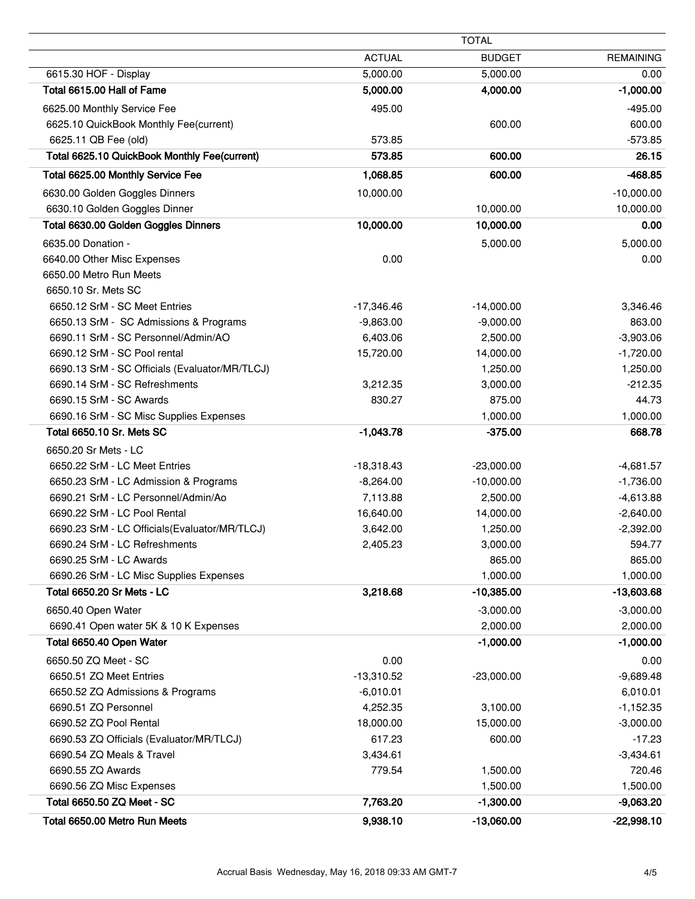|                                                |               | <b>TOTAL</b>  |                  |
|------------------------------------------------|---------------|---------------|------------------|
|                                                | <b>ACTUAL</b> | <b>BUDGET</b> | <b>REMAINING</b> |
| 6615.30 HOF - Display                          | 5,000.00      | 5,000.00      | 0.00             |
| Total 6615.00 Hall of Fame                     | 5,000.00      | 4,000.00      | $-1,000.00$      |
| 6625.00 Monthly Service Fee                    | 495.00        |               | $-495.00$        |
| 6625.10 QuickBook Monthly Fee(current)         |               | 600.00        | 600.00           |
| 6625.11 QB Fee (old)                           | 573.85        |               | $-573.85$        |
| Total 6625.10 QuickBook Monthly Fee(current)   | 573.85        | 600.00        | 26.15            |
| Total 6625.00 Monthly Service Fee              | 1,068.85      | 600.00        | $-468.85$        |
| 6630.00 Golden Goggles Dinners                 | 10,000.00     |               | $-10,000.00$     |
| 6630.10 Golden Goggles Dinner                  |               | 10,000.00     | 10,000.00        |
| Total 6630.00 Golden Goggles Dinners           | 10,000.00     | 10,000.00     | 0.00             |
| 6635.00 Donation -                             |               | 5,000.00      | 5,000.00         |
| 6640.00 Other Misc Expenses                    | 0.00          |               | 0.00             |
| 6650.00 Metro Run Meets                        |               |               |                  |
| 6650.10 Sr. Mets SC                            |               |               |                  |
| 6650.12 SrM - SC Meet Entries                  | $-17,346.46$  | $-14,000.00$  | 3,346.46         |
| 6650.13 SrM - SC Admissions & Programs         | $-9,863.00$   | $-9,000.00$   | 863.00           |
| 6690.11 SrM - SC Personnel/Admin/AO            | 6,403.06      | 2,500.00      | $-3,903.06$      |
| 6690.12 SrM - SC Pool rental                   | 15,720.00     | 14,000.00     | $-1,720.00$      |
| 6690.13 SrM - SC Officials (Evaluator/MR/TLCJ) |               | 1,250.00      | 1,250.00         |
| 6690.14 SrM - SC Refreshments                  | 3,212.35      | 3,000.00      | $-212.35$        |
| 6690.15 SrM - SC Awards                        | 830.27        | 875.00        | 44.73            |
| 6690.16 SrM - SC Misc Supplies Expenses        |               | 1,000.00      | 1,000.00         |
| Total 6650.10 Sr. Mets SC                      | $-1,043.78$   | $-375.00$     | 668.78           |
| 6650.20 Sr Mets - LC                           |               |               |                  |
| 6650.22 SrM - LC Meet Entries                  | $-18,318.43$  | $-23,000.00$  | $-4,681.57$      |
| 6650.23 SrM - LC Admission & Programs          | $-8,264.00$   | $-10,000.00$  | $-1,736.00$      |
| 6690.21 SrM - LC Personnel/Admin/Ao            | 7,113.88      | 2,500.00      | $-4,613.88$      |
| 6690.22 SrM - LC Pool Rental                   | 16,640.00     | 14,000.00     | $-2,640.00$      |
| 6690.23 SrM - LC Officials (Evaluator/MR/TLCJ) | 3,642.00      | 1,250.00      | $-2,392.00$      |
| 6690.24 SrM - LC Refreshments                  | 2,405.23      | 3,000.00      | 594.77           |
| 6690.25 SrM - LC Awards                        |               | 865.00        | 865.00           |
| 6690.26 SrM - LC Misc Supplies Expenses        |               | 1,000.00      | 1,000.00         |
| Total 6650.20 Sr Mets - LC                     | 3,218.68      | $-10,385.00$  | $-13,603.68$     |
| 6650.40 Open Water                             |               | $-3,000.00$   | $-3,000.00$      |
| 6690.41 Open water 5K & 10 K Expenses          |               | 2,000.00      | 2,000.00         |
| Total 6650.40 Open Water                       |               | $-1,000.00$   | $-1,000.00$      |
| 6650.50 ZQ Meet - SC                           | 0.00          |               | 0.00             |
| 6650.51 ZQ Meet Entries                        | $-13,310.52$  | $-23,000.00$  | $-9,689.48$      |
| 6650.52 ZQ Admissions & Programs               | $-6,010.01$   |               | 6,010.01         |
| 6690.51 ZQ Personnel                           | 4,252.35      | 3,100.00      | $-1,152.35$      |
| 6690.52 ZQ Pool Rental                         | 18,000.00     | 15,000.00     | $-3,000.00$      |
| 6690.53 ZQ Officials (Evaluator/MR/TLCJ)       | 617.23        | 600.00        | $-17.23$         |
| 6690.54 ZQ Meals & Travel                      | 3,434.61      |               | $-3,434.61$      |
| 6690.55 ZQ Awards                              | 779.54        | 1,500.00      | 720.46           |
| 6690.56 ZQ Misc Expenses                       |               | 1,500.00      | 1,500.00         |
| Total 6650.50 ZQ Meet - SC                     | 7,763.20      | $-1,300.00$   | $-9,063.20$      |
| Total 6650.00 Metro Run Meets                  | 9,938.10      | $-13,060.00$  | $-22,998.10$     |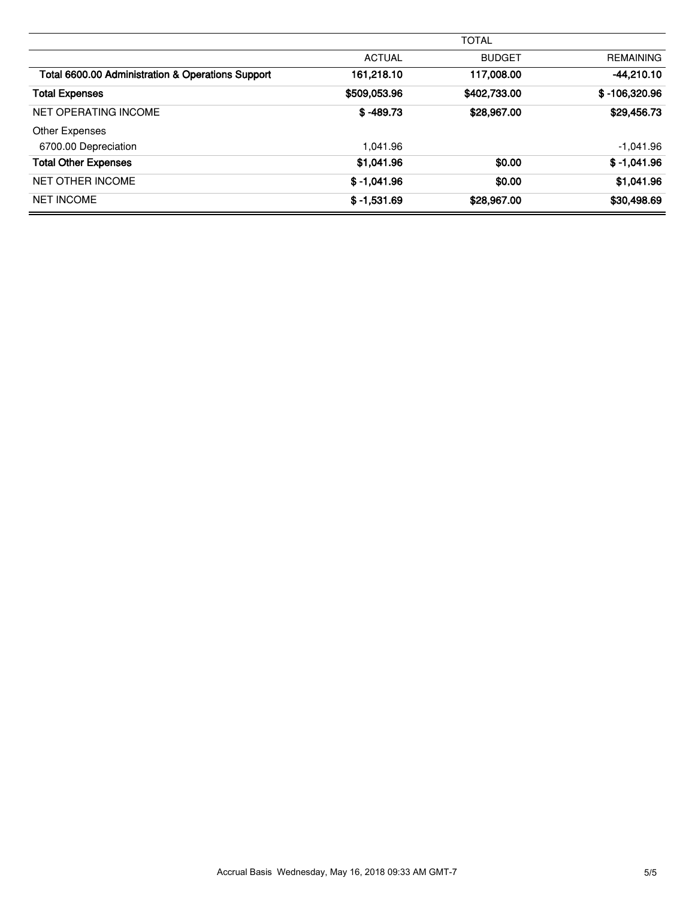|                                                   |               | <b>TOTAL</b>  |                  |
|---------------------------------------------------|---------------|---------------|------------------|
|                                                   | <b>ACTUAL</b> | <b>BUDGET</b> | <b>REMAINING</b> |
| Total 6600.00 Administration & Operations Support | 161,218.10    | 117,008.00    | $-44,210.10$     |
| <b>Total Expenses</b>                             | \$509,053.96  | \$402,733.00  | $$ -106,320.96$  |
| NET OPERATING INCOME                              | $$ -489.73$   | \$28,967.00   | \$29,456.73      |
| Other Expenses                                    |               |               |                  |
| 6700.00 Depreciation                              | 1.041.96      |               | $-1,041.96$      |
| <b>Total Other Expenses</b>                       | \$1,041.96    | \$0.00        | $$ -1,041.96$    |
| <b>NET OTHER INCOME</b>                           | $$ -1,041.96$ | \$0.00        | \$1,041.96       |
| <b>NET INCOME</b>                                 | $$ -1,531.69$ | \$28,967.00   | \$30,498.69      |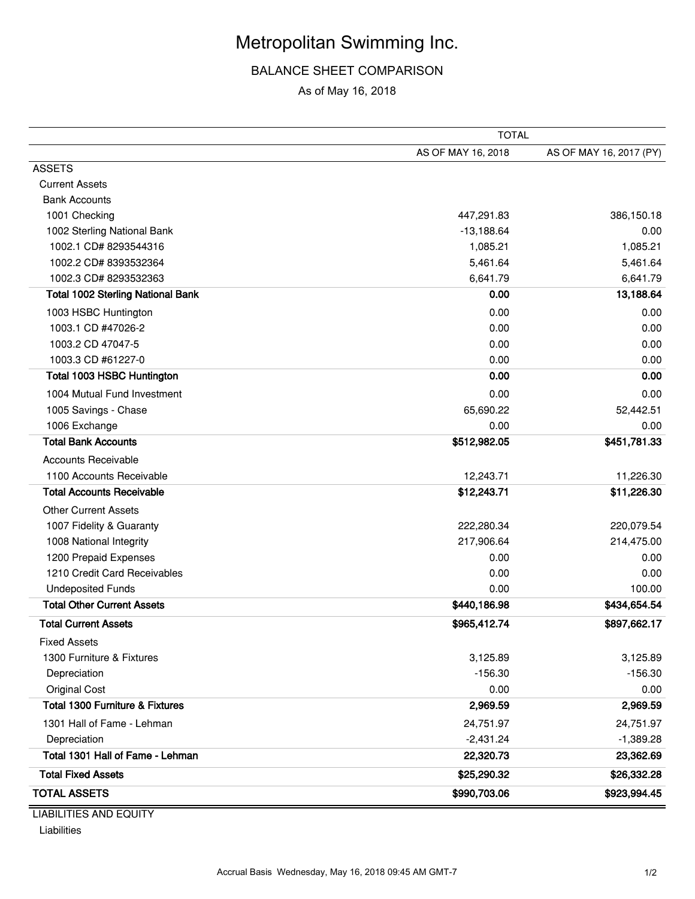# Metropolitan Swimming Inc.

# BALANCE SHEET COMPARISON

As of May 16, 2018

| AS OF MAY 16, 2018<br>AS OF MAY 16, 2017 (PY)<br><b>ASSETS</b><br><b>Current Assets</b><br><b>Bank Accounts</b><br>1001 Checking<br>386,150.18<br>447,291.83<br>1002 Sterling National Bank<br>$-13,188.64$<br>0.00<br>1,085.21<br>1002.1 CD# 8293544316<br>1,085.21<br>1002.2 CD# 8393532364<br>5,461.64<br>5,461.64<br>1002.3 CD# 8293532363<br>6,641.79<br>6,641.79<br><b>Total 1002 Sterling National Bank</b><br>0.00<br>13,188.64<br>1003 HSBC Huntington<br>0.00<br>0.00<br>1003.1 CD #47026-2<br>0.00<br>0.00<br>1003.2 CD 47047-5<br>0.00<br>0.00<br>1003.3 CD #61227-0<br>0.00<br>0.00<br><b>Total 1003 HSBC Huntington</b><br>0.00<br>0.00<br>1004 Mutual Fund Investment<br>0.00<br>0.00<br>52,442.51<br>1005 Savings - Chase<br>65,690.22<br>1006 Exchange<br>0.00<br>0.00<br><b>Total Bank Accounts</b><br>\$451,781.33<br>\$512,982.05<br><b>Accounts Receivable</b><br>1100 Accounts Receivable<br>11,226.30<br>12,243.71<br><b>Total Accounts Receivable</b><br>\$12,243.71<br>\$11,226.30<br>Other Current Assets<br>1007 Fidelity & Guaranty<br>220,079.54<br>222,280.34<br>214,475.00<br>1008 National Integrity<br>217,906.64<br>1200 Prepaid Expenses<br>0.00<br>0.00<br>1210 Credit Card Receivables<br>0.00<br>0.00<br><b>Undeposited Funds</b><br>0.00<br>100.00<br><b>Total Other Current Assets</b><br>\$440,186.98<br>\$434,654.54<br><b>Total Current Assets</b><br>\$965,412.74<br>\$897,662.17<br><b>Fixed Assets</b><br>1300 Furniture & Fixtures<br>3,125.89<br>3,125.89<br>$-156.30$<br>$-156.30$<br>Depreciation<br><b>Original Cost</b><br>0.00<br>0.00<br><b>Total 1300 Furniture &amp; Fixtures</b><br>2,969.59<br>2,969.59<br>1301 Hall of Fame - Lehman<br>24,751.97<br>24,751.97<br>$-1,389.28$<br>Depreciation<br>$-2,431.24$<br>Total 1301 Hall of Fame - Lehman<br>22,320.73<br>23,362.69<br><b>Total Fixed Assets</b><br>\$25,290.32<br>\$26,332.28<br><b>TOTAL ASSETS</b><br>\$923,994.45<br>\$990,703.06 | <b>TOTAL</b> |  |
|---------------------------------------------------------------------------------------------------------------------------------------------------------------------------------------------------------------------------------------------------------------------------------------------------------------------------------------------------------------------------------------------------------------------------------------------------------------------------------------------------------------------------------------------------------------------------------------------------------------------------------------------------------------------------------------------------------------------------------------------------------------------------------------------------------------------------------------------------------------------------------------------------------------------------------------------------------------------------------------------------------------------------------------------------------------------------------------------------------------------------------------------------------------------------------------------------------------------------------------------------------------------------------------------------------------------------------------------------------------------------------------------------------------------------------------------------------------------------------------------------------------------------------------------------------------------------------------------------------------------------------------------------------------------------------------------------------------------------------------------------------------------------------------------------------------------------------------------------------------------------------------------------------------------------------------------------------|--------------|--|
|                                                                                                                                                                                                                                                                                                                                                                                                                                                                                                                                                                                                                                                                                                                                                                                                                                                                                                                                                                                                                                                                                                                                                                                                                                                                                                                                                                                                                                                                                                                                                                                                                                                                                                                                                                                                                                                                                                                                                         |              |  |
|                                                                                                                                                                                                                                                                                                                                                                                                                                                                                                                                                                                                                                                                                                                                                                                                                                                                                                                                                                                                                                                                                                                                                                                                                                                                                                                                                                                                                                                                                                                                                                                                                                                                                                                                                                                                                                                                                                                                                         |              |  |
|                                                                                                                                                                                                                                                                                                                                                                                                                                                                                                                                                                                                                                                                                                                                                                                                                                                                                                                                                                                                                                                                                                                                                                                                                                                                                                                                                                                                                                                                                                                                                                                                                                                                                                                                                                                                                                                                                                                                                         |              |  |
|                                                                                                                                                                                                                                                                                                                                                                                                                                                                                                                                                                                                                                                                                                                                                                                                                                                                                                                                                                                                                                                                                                                                                                                                                                                                                                                                                                                                                                                                                                                                                                                                                                                                                                                                                                                                                                                                                                                                                         |              |  |
|                                                                                                                                                                                                                                                                                                                                                                                                                                                                                                                                                                                                                                                                                                                                                                                                                                                                                                                                                                                                                                                                                                                                                                                                                                                                                                                                                                                                                                                                                                                                                                                                                                                                                                                                                                                                                                                                                                                                                         |              |  |
|                                                                                                                                                                                                                                                                                                                                                                                                                                                                                                                                                                                                                                                                                                                                                                                                                                                                                                                                                                                                                                                                                                                                                                                                                                                                                                                                                                                                                                                                                                                                                                                                                                                                                                                                                                                                                                                                                                                                                         |              |  |
|                                                                                                                                                                                                                                                                                                                                                                                                                                                                                                                                                                                                                                                                                                                                                                                                                                                                                                                                                                                                                                                                                                                                                                                                                                                                                                                                                                                                                                                                                                                                                                                                                                                                                                                                                                                                                                                                                                                                                         |              |  |
|                                                                                                                                                                                                                                                                                                                                                                                                                                                                                                                                                                                                                                                                                                                                                                                                                                                                                                                                                                                                                                                                                                                                                                                                                                                                                                                                                                                                                                                                                                                                                                                                                                                                                                                                                                                                                                                                                                                                                         |              |  |
|                                                                                                                                                                                                                                                                                                                                                                                                                                                                                                                                                                                                                                                                                                                                                                                                                                                                                                                                                                                                                                                                                                                                                                                                                                                                                                                                                                                                                                                                                                                                                                                                                                                                                                                                                                                                                                                                                                                                                         |              |  |
|                                                                                                                                                                                                                                                                                                                                                                                                                                                                                                                                                                                                                                                                                                                                                                                                                                                                                                                                                                                                                                                                                                                                                                                                                                                                                                                                                                                                                                                                                                                                                                                                                                                                                                                                                                                                                                                                                                                                                         |              |  |
|                                                                                                                                                                                                                                                                                                                                                                                                                                                                                                                                                                                                                                                                                                                                                                                                                                                                                                                                                                                                                                                                                                                                                                                                                                                                                                                                                                                                                                                                                                                                                                                                                                                                                                                                                                                                                                                                                                                                                         |              |  |
|                                                                                                                                                                                                                                                                                                                                                                                                                                                                                                                                                                                                                                                                                                                                                                                                                                                                                                                                                                                                                                                                                                                                                                                                                                                                                                                                                                                                                                                                                                                                                                                                                                                                                                                                                                                                                                                                                                                                                         |              |  |
|                                                                                                                                                                                                                                                                                                                                                                                                                                                                                                                                                                                                                                                                                                                                                                                                                                                                                                                                                                                                                                                                                                                                                                                                                                                                                                                                                                                                                                                                                                                                                                                                                                                                                                                                                                                                                                                                                                                                                         |              |  |
|                                                                                                                                                                                                                                                                                                                                                                                                                                                                                                                                                                                                                                                                                                                                                                                                                                                                                                                                                                                                                                                                                                                                                                                                                                                                                                                                                                                                                                                                                                                                                                                                                                                                                                                                                                                                                                                                                                                                                         |              |  |
|                                                                                                                                                                                                                                                                                                                                                                                                                                                                                                                                                                                                                                                                                                                                                                                                                                                                                                                                                                                                                                                                                                                                                                                                                                                                                                                                                                                                                                                                                                                                                                                                                                                                                                                                                                                                                                                                                                                                                         |              |  |
|                                                                                                                                                                                                                                                                                                                                                                                                                                                                                                                                                                                                                                                                                                                                                                                                                                                                                                                                                                                                                                                                                                                                                                                                                                                                                                                                                                                                                                                                                                                                                                                                                                                                                                                                                                                                                                                                                                                                                         |              |  |
|                                                                                                                                                                                                                                                                                                                                                                                                                                                                                                                                                                                                                                                                                                                                                                                                                                                                                                                                                                                                                                                                                                                                                                                                                                                                                                                                                                                                                                                                                                                                                                                                                                                                                                                                                                                                                                                                                                                                                         |              |  |
|                                                                                                                                                                                                                                                                                                                                                                                                                                                                                                                                                                                                                                                                                                                                                                                                                                                                                                                                                                                                                                                                                                                                                                                                                                                                                                                                                                                                                                                                                                                                                                                                                                                                                                                                                                                                                                                                                                                                                         |              |  |
|                                                                                                                                                                                                                                                                                                                                                                                                                                                                                                                                                                                                                                                                                                                                                                                                                                                                                                                                                                                                                                                                                                                                                                                                                                                                                                                                                                                                                                                                                                                                                                                                                                                                                                                                                                                                                                                                                                                                                         |              |  |
|                                                                                                                                                                                                                                                                                                                                                                                                                                                                                                                                                                                                                                                                                                                                                                                                                                                                                                                                                                                                                                                                                                                                                                                                                                                                                                                                                                                                                                                                                                                                                                                                                                                                                                                                                                                                                                                                                                                                                         |              |  |
|                                                                                                                                                                                                                                                                                                                                                                                                                                                                                                                                                                                                                                                                                                                                                                                                                                                                                                                                                                                                                                                                                                                                                                                                                                                                                                                                                                                                                                                                                                                                                                                                                                                                                                                                                                                                                                                                                                                                                         |              |  |
|                                                                                                                                                                                                                                                                                                                                                                                                                                                                                                                                                                                                                                                                                                                                                                                                                                                                                                                                                                                                                                                                                                                                                                                                                                                                                                                                                                                                                                                                                                                                                                                                                                                                                                                                                                                                                                                                                                                                                         |              |  |
|                                                                                                                                                                                                                                                                                                                                                                                                                                                                                                                                                                                                                                                                                                                                                                                                                                                                                                                                                                                                                                                                                                                                                                                                                                                                                                                                                                                                                                                                                                                                                                                                                                                                                                                                                                                                                                                                                                                                                         |              |  |
|                                                                                                                                                                                                                                                                                                                                                                                                                                                                                                                                                                                                                                                                                                                                                                                                                                                                                                                                                                                                                                                                                                                                                                                                                                                                                                                                                                                                                                                                                                                                                                                                                                                                                                                                                                                                                                                                                                                                                         |              |  |
|                                                                                                                                                                                                                                                                                                                                                                                                                                                                                                                                                                                                                                                                                                                                                                                                                                                                                                                                                                                                                                                                                                                                                                                                                                                                                                                                                                                                                                                                                                                                                                                                                                                                                                                                                                                                                                                                                                                                                         |              |  |
|                                                                                                                                                                                                                                                                                                                                                                                                                                                                                                                                                                                                                                                                                                                                                                                                                                                                                                                                                                                                                                                                                                                                                                                                                                                                                                                                                                                                                                                                                                                                                                                                                                                                                                                                                                                                                                                                                                                                                         |              |  |
|                                                                                                                                                                                                                                                                                                                                                                                                                                                                                                                                                                                                                                                                                                                                                                                                                                                                                                                                                                                                                                                                                                                                                                                                                                                                                                                                                                                                                                                                                                                                                                                                                                                                                                                                                                                                                                                                                                                                                         |              |  |
|                                                                                                                                                                                                                                                                                                                                                                                                                                                                                                                                                                                                                                                                                                                                                                                                                                                                                                                                                                                                                                                                                                                                                                                                                                                                                                                                                                                                                                                                                                                                                                                                                                                                                                                                                                                                                                                                                                                                                         |              |  |
|                                                                                                                                                                                                                                                                                                                                                                                                                                                                                                                                                                                                                                                                                                                                                                                                                                                                                                                                                                                                                                                                                                                                                                                                                                                                                                                                                                                                                                                                                                                                                                                                                                                                                                                                                                                                                                                                                                                                                         |              |  |
|                                                                                                                                                                                                                                                                                                                                                                                                                                                                                                                                                                                                                                                                                                                                                                                                                                                                                                                                                                                                                                                                                                                                                                                                                                                                                                                                                                                                                                                                                                                                                                                                                                                                                                                                                                                                                                                                                                                                                         |              |  |
|                                                                                                                                                                                                                                                                                                                                                                                                                                                                                                                                                                                                                                                                                                                                                                                                                                                                                                                                                                                                                                                                                                                                                                                                                                                                                                                                                                                                                                                                                                                                                                                                                                                                                                                                                                                                                                                                                                                                                         |              |  |
|                                                                                                                                                                                                                                                                                                                                                                                                                                                                                                                                                                                                                                                                                                                                                                                                                                                                                                                                                                                                                                                                                                                                                                                                                                                                                                                                                                                                                                                                                                                                                                                                                                                                                                                                                                                                                                                                                                                                                         |              |  |
|                                                                                                                                                                                                                                                                                                                                                                                                                                                                                                                                                                                                                                                                                                                                                                                                                                                                                                                                                                                                                                                                                                                                                                                                                                                                                                                                                                                                                                                                                                                                                                                                                                                                                                                                                                                                                                                                                                                                                         |              |  |
|                                                                                                                                                                                                                                                                                                                                                                                                                                                                                                                                                                                                                                                                                                                                                                                                                                                                                                                                                                                                                                                                                                                                                                                                                                                                                                                                                                                                                                                                                                                                                                                                                                                                                                                                                                                                                                                                                                                                                         |              |  |
|                                                                                                                                                                                                                                                                                                                                                                                                                                                                                                                                                                                                                                                                                                                                                                                                                                                                                                                                                                                                                                                                                                                                                                                                                                                                                                                                                                                                                                                                                                                                                                                                                                                                                                                                                                                                                                                                                                                                                         |              |  |
|                                                                                                                                                                                                                                                                                                                                                                                                                                                                                                                                                                                                                                                                                                                                                                                                                                                                                                                                                                                                                                                                                                                                                                                                                                                                                                                                                                                                                                                                                                                                                                                                                                                                                                                                                                                                                                                                                                                                                         |              |  |
|                                                                                                                                                                                                                                                                                                                                                                                                                                                                                                                                                                                                                                                                                                                                                                                                                                                                                                                                                                                                                                                                                                                                                                                                                                                                                                                                                                                                                                                                                                                                                                                                                                                                                                                                                                                                                                                                                                                                                         |              |  |
|                                                                                                                                                                                                                                                                                                                                                                                                                                                                                                                                                                                                                                                                                                                                                                                                                                                                                                                                                                                                                                                                                                                                                                                                                                                                                                                                                                                                                                                                                                                                                                                                                                                                                                                                                                                                                                                                                                                                                         |              |  |
|                                                                                                                                                                                                                                                                                                                                                                                                                                                                                                                                                                                                                                                                                                                                                                                                                                                                                                                                                                                                                                                                                                                                                                                                                                                                                                                                                                                                                                                                                                                                                                                                                                                                                                                                                                                                                                                                                                                                                         |              |  |
|                                                                                                                                                                                                                                                                                                                                                                                                                                                                                                                                                                                                                                                                                                                                                                                                                                                                                                                                                                                                                                                                                                                                                                                                                                                                                                                                                                                                                                                                                                                                                                                                                                                                                                                                                                                                                                                                                                                                                         |              |  |

LIABILITIES AND EQUITY Liabilities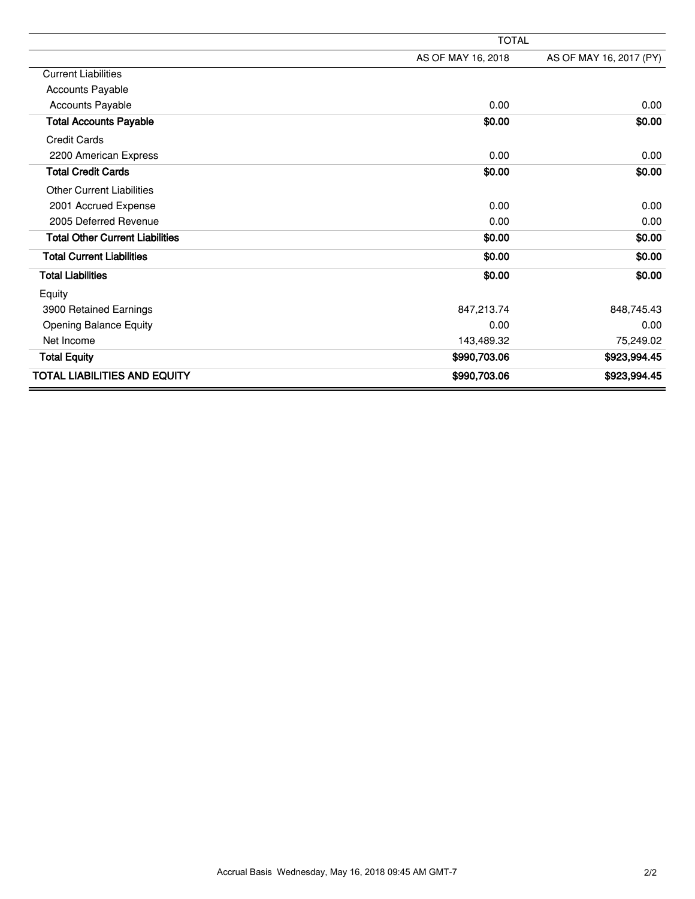|                                        | <b>TOTAL</b>       |                         |  |
|----------------------------------------|--------------------|-------------------------|--|
|                                        | AS OF MAY 16, 2018 | AS OF MAY 16, 2017 (PY) |  |
| <b>Current Liabilities</b>             |                    |                         |  |
| <b>Accounts Payable</b>                |                    |                         |  |
| <b>Accounts Payable</b>                | 0.00               | 0.00                    |  |
| <b>Total Accounts Payable</b>          | \$0.00             | \$0.00                  |  |
| <b>Credit Cards</b>                    |                    |                         |  |
| 2200 American Express                  | 0.00               | 0.00                    |  |
| <b>Total Credit Cards</b>              | \$0.00             | \$0.00                  |  |
| <b>Other Current Liabilities</b>       |                    |                         |  |
| 2001 Accrued Expense                   | 0.00               | 0.00                    |  |
| 2005 Deferred Revenue                  | 0.00               | 0.00                    |  |
| <b>Total Other Current Liabilities</b> | \$0.00             | \$0.00                  |  |
| <b>Total Current Liabilities</b>       | \$0.00             | \$0.00                  |  |
| <b>Total Liabilities</b>               | \$0.00             | \$0.00                  |  |
| Equity                                 |                    |                         |  |
| 3900 Retained Earnings                 | 847,213.74         | 848,745.43              |  |
| <b>Opening Balance Equity</b>          | 0.00               | 0.00                    |  |
| Net Income                             | 143,489.32         | 75,249.02               |  |
| <b>Total Equity</b>                    | \$990,703.06       | \$923,994.45            |  |
| <b>TOTAL LIABILITIES AND EQUITY</b>    | \$990,703.06       | \$923,994.45            |  |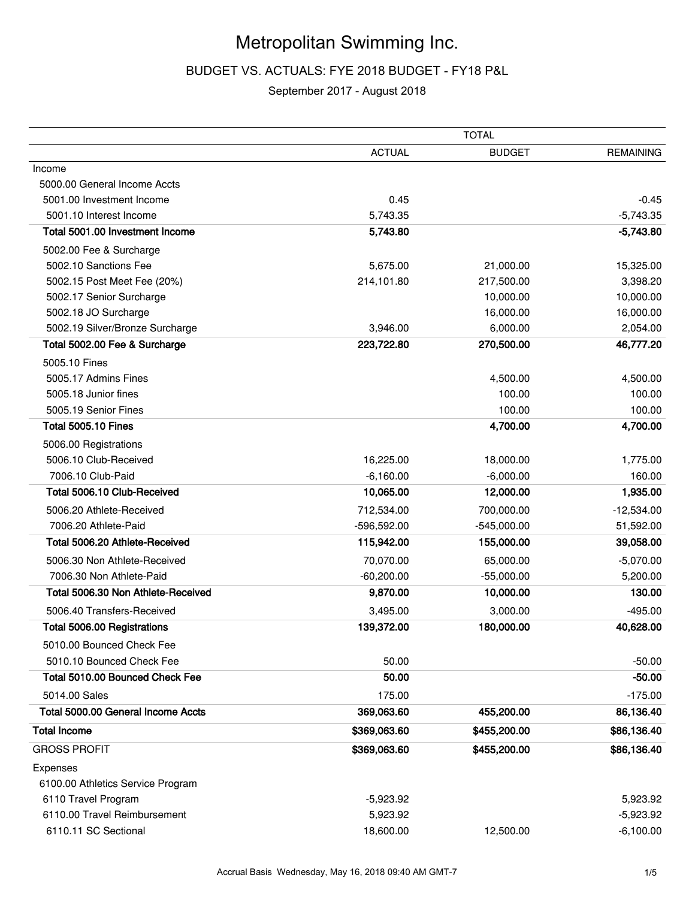# Metropolitan Swimming Inc.

# BUDGET VS. ACTUALS: FYE 2018 BUDGET - FY18 P&L

# September 2017 - August 2018

|                                    | <b>TOTAL</b>  |               |                  |
|------------------------------------|---------------|---------------|------------------|
|                                    | <b>ACTUAL</b> | <b>BUDGET</b> | <b>REMAINING</b> |
| Income                             |               |               |                  |
| 5000.00 General Income Accts       |               |               |                  |
| 5001.00 Investment Income          | 0.45          |               | -0.45            |
| 5001.10 Interest Income            | 5,743.35      |               | $-5,743.35$      |
| Total 5001.00 Investment Income    | 5,743.80      |               | $-5,743.80$      |
| 5002.00 Fee & Surcharge            |               |               |                  |
| 5002.10 Sanctions Fee              | 5,675.00      | 21,000.00     | 15,325.00        |
| 5002.15 Post Meet Fee (20%)        | 214,101.80    | 217,500.00    | 3,398.20         |
| 5002.17 Senior Surcharge           |               | 10,000.00     | 10,000.00        |
| 5002.18 JO Surcharge               |               | 16,000.00     | 16,000.00        |
| 5002.19 Silver/Bronze Surcharge    | 3,946.00      | 6,000.00      | 2,054.00         |
| Total 5002.00 Fee & Surcharge      | 223,722.80    | 270,500.00    | 46,777.20        |
| 5005.10 Fines                      |               |               |                  |
| 5005.17 Admins Fines               |               | 4,500.00      | 4,500.00         |
| 5005.18 Junior fines               |               | 100.00        | 100.00           |
| 5005.19 Senior Fines               |               | 100.00        | 100.00           |
| <b>Total 5005.10 Fines</b>         |               | 4,700.00      | 4,700.00         |
| 5006.00 Registrations              |               |               |                  |
| 5006.10 Club-Received              | 16,225.00     | 18,000.00     | 1,775.00         |
| 7006.10 Club-Paid                  | $-6,160.00$   | $-6,000.00$   | 160.00           |
| Total 5006.10 Club-Received        | 10,065.00     | 12,000.00     | 1,935.00         |
| 5006.20 Athlete-Received           | 712,534.00    | 700,000.00    | $-12,534.00$     |
| 7006.20 Athlete-Paid               | -596,592.00   | $-545,000.00$ | 51,592.00        |
| Total 5006.20 Athlete-Received     | 115,942.00    | 155,000.00    | 39,058.00        |
| 5006.30 Non Athlete-Received       | 70,070.00     | 65,000.00     | $-5,070.00$      |
| 7006.30 Non Athlete-Paid           | $-60,200.00$  | $-55,000.00$  | 5,200.00         |
| Total 5006.30 Non Athlete-Received | 9,870.00      | 10,000.00     | 130.00           |
| 5006.40 Transfers-Received         | 3,495.00      | 3,000.00      | $-495.00$        |
| Total 5006.00 Registrations        | 139,372.00    | 180,000.00    | 40,628.00        |
| 5010.00 Bounced Check Fee          |               |               |                  |
| 5010.10 Bounced Check Fee          | 50.00         |               | $-50.00$         |
| Total 5010.00 Bounced Check Fee    | 50.00         |               | $-50.00$         |
| 5014.00 Sales                      | 175.00        |               | $-175.00$        |
| Total 5000.00 General Income Accts | 369,063.60    | 455,200.00    | 86,136.40        |
|                                    |               |               |                  |
| <b>Total Income</b>                | \$369,063.60  | \$455,200.00  | \$86,136.40      |
| <b>GROSS PROFIT</b>                | \$369,063.60  | \$455,200.00  | \$86,136.40      |
| Expenses                           |               |               |                  |
| 6100.00 Athletics Service Program  |               |               |                  |
| 6110 Travel Program                | $-5,923.92$   |               | 5,923.92         |
| 6110.00 Travel Reimbursement       | 5,923.92      |               | $-5,923.92$      |
| 6110.11 SC Sectional               | 18,600.00     | 12,500.00     | $-6,100.00$      |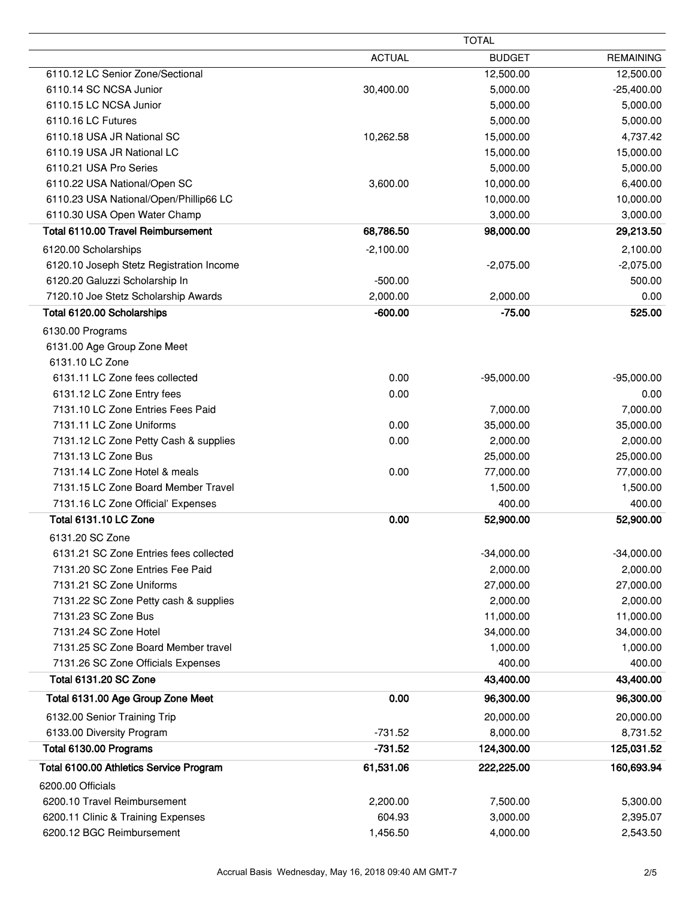|                                          | <b>TOTAL</b>  |               |                  |
|------------------------------------------|---------------|---------------|------------------|
|                                          | <b>ACTUAL</b> | <b>BUDGET</b> | <b>REMAINING</b> |
| 6110.12 LC Senior Zone/Sectional         |               | 12,500.00     | 12,500.00        |
| 6110.14 SC NCSA Junior                   | 30,400.00     | 5,000.00      | $-25,400.00$     |
| 6110.15 LC NCSA Junior                   |               | 5,000.00      | 5,000.00         |
| 6110.16 LC Futures                       |               | 5,000.00      | 5,000.00         |
| 6110.18 USA JR National SC               | 10,262.58     | 15,000.00     | 4,737.42         |
| 6110.19 USA JR National LC               |               | 15,000.00     | 15,000.00        |
| 6110.21 USA Pro Series                   |               | 5,000.00      | 5,000.00         |
| 6110.22 USA National/Open SC             | 3,600.00      | 10,000.00     | 6,400.00         |
| 6110.23 USA National/Open/Phillip66 LC   |               | 10,000.00     | 10,000.00        |
| 6110.30 USA Open Water Champ             |               | 3,000.00      | 3,000.00         |
| Total 6110.00 Travel Reimbursement       | 68,786.50     | 98,000.00     | 29,213.50        |
| 6120.00 Scholarships                     | $-2,100.00$   |               | 2,100.00         |
| 6120.10 Joseph Stetz Registration Income |               | $-2,075.00$   | $-2,075.00$      |
| 6120.20 Galuzzi Scholarship In           | $-500.00$     |               | 500.00           |
| 7120.10 Joe Stetz Scholarship Awards     | 2,000.00      | 2,000.00      | 0.00             |
| Total 6120.00 Scholarships               | $-600.00$     | $-75.00$      | 525.00           |
| 6130.00 Programs                         |               |               |                  |
| 6131.00 Age Group Zone Meet              |               |               |                  |
| 6131.10 LC Zone                          |               |               |                  |
| 6131.11 LC Zone fees collected           | 0.00          | $-95,000.00$  | $-95,000.00$     |
| 6131.12 LC Zone Entry fees               | 0.00          |               | 0.00             |
| 7131.10 LC Zone Entries Fees Paid        |               | 7,000.00      | 7,000.00         |
| 7131.11 LC Zone Uniforms                 | 0.00          | 35,000.00     | 35,000.00        |
| 7131.12 LC Zone Petty Cash & supplies    | 0.00          | 2,000.00      | 2,000.00         |
| 7131.13 LC Zone Bus                      |               | 25,000.00     | 25,000.00        |
| 7131.14 LC Zone Hotel & meals            | 0.00          | 77,000.00     | 77,000.00        |
| 7131.15 LC Zone Board Member Travel      |               | 1,500.00      | 1,500.00         |
| 7131.16 LC Zone Official' Expenses       |               | 400.00        | 400.00           |
| Total 6131.10 LC Zone                    | 0.00          | 52,900.00     | 52,900.00        |
|                                          |               |               |                  |
| 6131.20 SC Zone                          |               |               |                  |
| 6131.21 SC Zone Entries fees collected   |               | $-34,000.00$  | $-34,000.00$     |
| 7131.20 SC Zone Entries Fee Paid         |               | 2,000.00      | 2,000.00         |
| 7131.21 SC Zone Uniforms                 |               | 27,000.00     | 27,000.00        |
| 7131.22 SC Zone Petty cash & supplies    |               | 2,000.00      | 2,000.00         |
| 7131.23 SC Zone Bus                      |               | 11,000.00     | 11,000.00        |
| 7131.24 SC Zone Hotel                    |               | 34,000.00     | 34,000.00        |
| 7131.25 SC Zone Board Member travel      |               | 1,000.00      | 1,000.00         |
| 7131.26 SC Zone Officials Expenses       |               | 400.00        | 400.00           |
| Total 6131.20 SC Zone                    |               | 43,400.00     | 43,400.00        |
| Total 6131.00 Age Group Zone Meet        | 0.00          | 96,300.00     | 96,300.00        |
| 6132.00 Senior Training Trip             |               | 20,000.00     | 20,000.00        |
| 6133.00 Diversity Program                | $-731.52$     | 8,000.00      | 8,731.52         |
| Total 6130.00 Programs                   | $-731.52$     | 124,300.00    | 125,031.52       |
| Total 6100.00 Athletics Service Program  | 61,531.06     | 222,225.00    | 160,693.94       |
| 6200.00 Officials                        |               |               |                  |
| 6200.10 Travel Reimbursement             | 2,200.00      | 7,500.00      | 5,300.00         |
| 6200.11 Clinic & Training Expenses       | 604.93        | 3,000.00      | 2,395.07         |
| 6200.12 BGC Reimbursement                | 1,456.50      | 4,000.00      | 2,543.50         |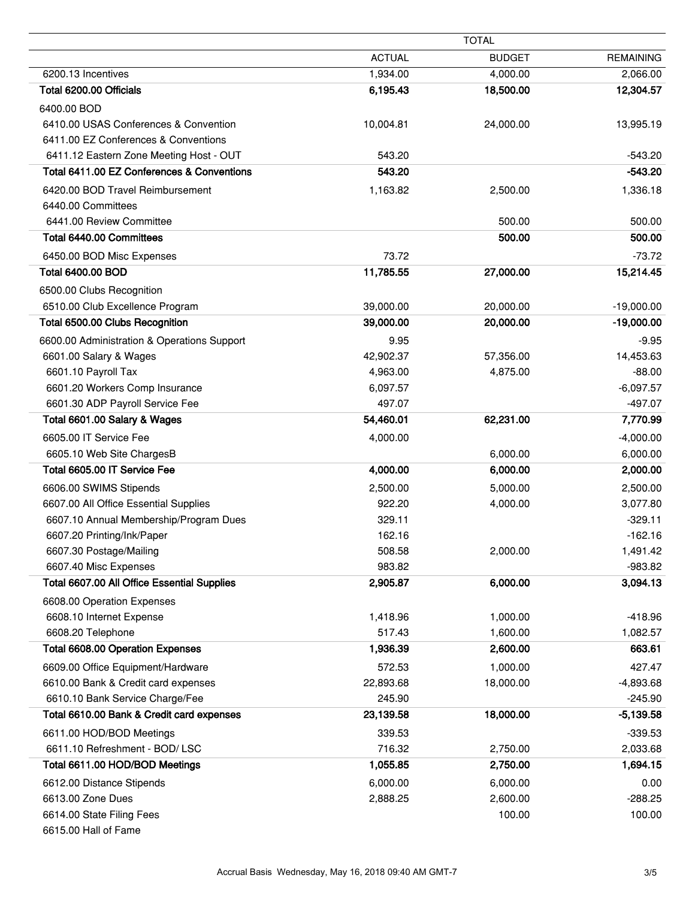|                                                                        | <b>TOTAL</b>         |                      |                          |
|------------------------------------------------------------------------|----------------------|----------------------|--------------------------|
|                                                                        | <b>ACTUAL</b>        | <b>BUDGET</b>        | <b>REMAINING</b>         |
| 6200.13 Incentives                                                     | 1,934.00             | 4,000.00             | 2,066.00                 |
| Total 6200.00 Officials                                                | 6,195.43             | 18,500.00            | 12,304.57                |
| 6400.00 BOD                                                            |                      |                      |                          |
| 6410.00 USAS Conferences & Convention                                  | 10,004.81            | 24,000.00            | 13,995.19                |
| 6411.00 EZ Conferences & Conventions                                   |                      |                      |                          |
| 6411.12 Eastern Zone Meeting Host - OUT                                | 543.20               |                      | $-543.20$                |
| Total 6411.00 EZ Conferences & Conventions                             | 543.20               |                      | $-543.20$                |
| 6420.00 BOD Travel Reimbursement                                       | 1,163.82             | 2,500.00             | 1,336.18                 |
| 6440.00 Committees                                                     |                      |                      |                          |
| 6441.00 Review Committee                                               |                      | 500.00               | 500.00                   |
| Total 6440.00 Committees                                               |                      | 500.00               | 500.00                   |
| 6450.00 BOD Misc Expenses                                              | 73.72                |                      | $-73.72$                 |
| <b>Total 6400.00 BOD</b>                                               | 11,785.55            | 27,000.00            | 15,214.45                |
| 6500.00 Clubs Recognition                                              |                      |                      |                          |
| 6510.00 Club Excellence Program                                        | 39,000.00            | 20,000.00            | $-19,000.00$             |
| Total 6500.00 Clubs Recognition                                        | 39,000.00            | 20,000.00            | $-19,000.00$             |
| 6600.00 Administration & Operations Support                            | 9.95                 |                      | $-9.95$                  |
| 6601.00 Salary & Wages                                                 | 42,902.37            | 57,356.00            | 14,453.63                |
| 6601.10 Payroll Tax                                                    | 4,963.00             | 4,875.00             | $-88.00$                 |
| 6601.20 Workers Comp Insurance                                         | 6,097.57             |                      | $-6,097.57$              |
| 6601.30 ADP Payroll Service Fee                                        | 497.07               |                      | $-497.07$                |
| Total 6601.00 Salary & Wages                                           | 54,460.01            | 62,231.00            | 7,770.99                 |
| 6605.00 IT Service Fee                                                 | 4,000.00             |                      | $-4,000.00$              |
| 6605.10 Web Site ChargesB                                              |                      | 6,000.00             | 6,000.00                 |
| Total 6605.00 IT Service Fee                                           | 4,000.00             | 6,000.00             | 2,000.00                 |
| 6606.00 SWIMS Stipends                                                 | 2,500.00             | 5,000.00             | 2,500.00                 |
| 6607.00 All Office Essential Supplies                                  | 922.20               | 4,000.00             | 3,077.80                 |
| 6607.10 Annual Membership/Program Dues                                 | 329.11               |                      | $-329.11$                |
| 6607.20 Printing/Ink/Paper                                             | 162.16               |                      | $-162.16$                |
| 6607.30 Postage/Mailing                                                | 508.58               | 2,000.00             | 1,491.42                 |
| 6607.40 Misc Expenses                                                  | 983.82               |                      | $-983.82$                |
| Total 6607.00 All Office Essential Supplies                            | 2,905.87             | 6,000.00             | 3,094.13                 |
| 6608.00 Operation Expenses                                             |                      |                      |                          |
| 6608.10 Internet Expense<br>6608.20 Telephone                          | 1,418.96<br>517.43   | 1,000.00             | $-418.96$                |
| <b>Total 6608.00 Operation Expenses</b>                                | 1,936.39             | 1,600.00<br>2,600.00 | 1,082.57<br>663.61       |
|                                                                        |                      |                      |                          |
| 6609.00 Office Equipment/Hardware                                      | 572.53               | 1,000.00             | 427.47                   |
| 6610.00 Bank & Credit card expenses<br>6610.10 Bank Service Charge/Fee | 22,893.68<br>245.90  | 18,000.00            | $-4,893.68$<br>$-245.90$ |
| Total 6610.00 Bank & Credit card expenses                              | 23,139.58            | 18,000.00            | $-5,139.58$              |
|                                                                        |                      |                      |                          |
| 6611.00 HOD/BOD Meetings<br>6611.10 Refreshment - BOD/ LSC             | 339.53<br>716.32     | 2,750.00             | $-339.53$<br>2,033.68    |
| Total 6611.00 HOD/BOD Meetings                                         | 1,055.85             | 2,750.00             | 1,694.15                 |
|                                                                        |                      |                      |                          |
| 6612.00 Distance Stipends<br>6613.00 Zone Dues                         | 6,000.00<br>2,888.25 | 6,000.00<br>2,600.00 | 0.00<br>$-288.25$        |
| 6614.00 State Filing Fees                                              |                      | 100.00               | 100.00                   |
| 6615.00 Hall of Fame                                                   |                      |                      |                          |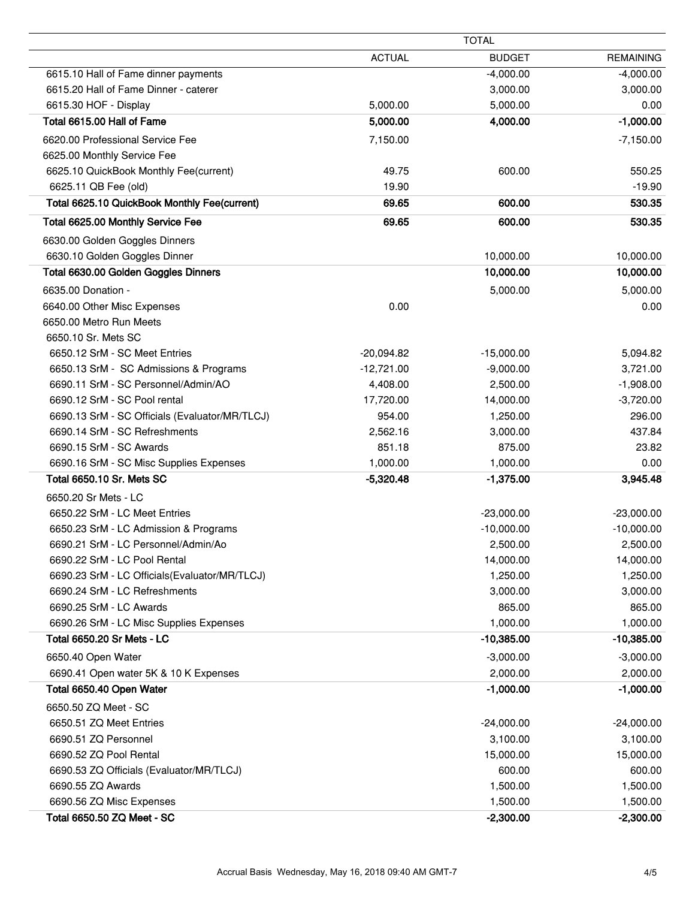|                                                | <b>TOTAL</b>  |               |                  |
|------------------------------------------------|---------------|---------------|------------------|
|                                                | <b>ACTUAL</b> | <b>BUDGET</b> | <b>REMAINING</b> |
| 6615.10 Hall of Fame dinner payments           |               | $-4,000.00$   | $-4,000.00$      |
| 6615.20 Hall of Fame Dinner - caterer          |               | 3,000.00      | 3,000.00         |
| 6615.30 HOF - Display                          | 5,000.00      | 5,000.00      | 0.00             |
| Total 6615.00 Hall of Fame                     | 5,000.00      | 4,000.00      | $-1,000.00$      |
| 6620.00 Professional Service Fee               | 7,150.00      |               | $-7,150.00$      |
| 6625.00 Monthly Service Fee                    |               |               |                  |
| 6625.10 QuickBook Monthly Fee(current)         | 49.75         | 600.00        | 550.25           |
| 6625.11 QB Fee (old)                           | 19.90         |               | $-19.90$         |
| Total 6625.10 QuickBook Monthly Fee(current)   | 69.65         | 600.00        | 530.35           |
| Total 6625.00 Monthly Service Fee              | 69.65         | 600.00        | 530.35           |
| 6630.00 Golden Goggles Dinners                 |               |               |                  |
| 6630.10 Golden Goggles Dinner                  |               | 10,000.00     | 10,000.00        |
| Total 6630.00 Golden Goggles Dinners           |               | 10,000.00     | 10,000.00        |
| 6635.00 Donation -                             |               | 5,000.00      | 5,000.00         |
| 6640.00 Other Misc Expenses                    | 0.00          |               | 0.00             |
| 6650.00 Metro Run Meets                        |               |               |                  |
| 6650.10 Sr. Mets SC                            |               |               |                  |
| 6650.12 SrM - SC Meet Entries                  | $-20,094.82$  | $-15,000.00$  | 5,094.82         |
| 6650.13 SrM - SC Admissions & Programs         | $-12,721.00$  | $-9,000.00$   | 3,721.00         |
| 6690.11 SrM - SC Personnel/Admin/AO            | 4,408.00      | 2,500.00      | $-1,908.00$      |
| 6690.12 SrM - SC Pool rental                   | 17,720.00     | 14,000.00     | $-3,720.00$      |
| 6690.13 SrM - SC Officials (Evaluator/MR/TLCJ) | 954.00        | 1,250.00      | 296.00           |
| 6690.14 SrM - SC Refreshments                  | 2,562.16      | 3,000.00      | 437.84           |
| 6690.15 SrM - SC Awards                        | 851.18        | 875.00        | 23.82            |
| 6690.16 SrM - SC Misc Supplies Expenses        | 1,000.00      | 1,000.00      | 0.00             |
| Total 6650.10 Sr. Mets SC                      | $-5,320.48$   | $-1,375.00$   | 3,945.48         |
| 6650.20 Sr Mets - LC                           |               |               |                  |
| 6650.22 SrM - LC Meet Entries                  |               | $-23,000.00$  | $-23,000.00$     |
| 6650.23 SrM - LC Admission & Programs          |               | $-10,000.00$  | $-10,000.00$     |
| 6690.21 SrM - LC Personnel/Admin/Ao            |               | 2,500.00      | 2,500.00         |
| 6690.22 SrM - LC Pool Rental                   |               | 14,000.00     | 14,000.00        |
| 6690.23 SrM - LC Officials (Evaluator/MR/TLCJ) |               | 1,250.00      | 1,250.00         |
| 6690.24 SrM - LC Refreshments                  |               | 3,000.00      | 3,000.00         |
| 6690.25 SrM - LC Awards                        |               | 865.00        | 865.00           |
| 6690.26 SrM - LC Misc Supplies Expenses        |               | 1,000.00      | 1,000.00         |
| Total 6650.20 Sr Mets - LC                     |               | $-10,385.00$  | $-10,385.00$     |
| 6650.40 Open Water                             |               | $-3,000.00$   | $-3,000.00$      |
| 6690.41 Open water 5K & 10 K Expenses          |               | 2,000.00      | 2,000.00         |
| Total 6650.40 Open Water                       |               | $-1,000.00$   | $-1,000.00$      |
| 6650.50 ZQ Meet - SC                           |               |               |                  |
| 6650.51 ZQ Meet Entries                        |               | $-24,000.00$  | $-24,000.00$     |
| 6690.51 ZQ Personnel                           |               | 3,100.00      | 3,100.00         |
| 6690.52 ZQ Pool Rental                         |               | 15,000.00     | 15,000.00        |
| 6690.53 ZQ Officials (Evaluator/MR/TLCJ)       |               | 600.00        | 600.00           |
| 6690.55 ZQ Awards                              |               | 1,500.00      | 1,500.00         |
| 6690.56 ZQ Misc Expenses                       |               | 1,500.00      | 1,500.00         |
| Total 6650.50 ZQ Meet - SC                     |               | $-2,300.00$   | $-2,300.00$      |

 $\overline{\phantom{0}}$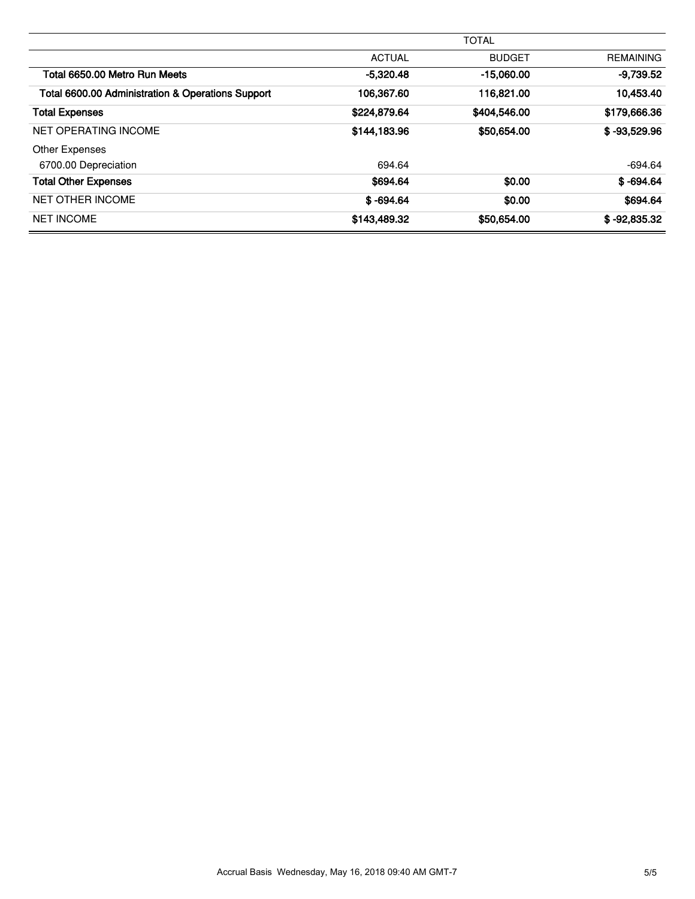|                                                   | <b>TOTAL</b>  |               |                  |
|---------------------------------------------------|---------------|---------------|------------------|
|                                                   | <b>ACTUAL</b> | <b>BUDGET</b> | <b>REMAINING</b> |
| Total 6650.00 Metro Run Meets                     | $-5,320.48$   | $-15,060,00$  | $-9,739.52$      |
| Total 6600.00 Administration & Operations Support | 106.367.60    | 116,821.00    | 10.453.40        |
| <b>Total Expenses</b>                             | \$224,879.64  | \$404,546.00  | \$179,666.36     |
| NET OPERATING INCOME                              | \$144,183,96  | \$50,654.00   | $$ -93,529.96$   |
| <b>Other Expenses</b>                             |               |               |                  |
| 6700.00 Depreciation                              | 694.64        |               | $-694.64$        |
| <b>Total Other Expenses</b>                       | \$694.64      | \$0.00        | $$-694.64$       |
| <b>NET OTHER INCOME</b>                           | $$ -694.64$   | \$0.00        | \$694.64         |
| <b>NET INCOME</b>                                 | \$143,489.32  | \$50,654.00   | $$ -92.835.32$   |